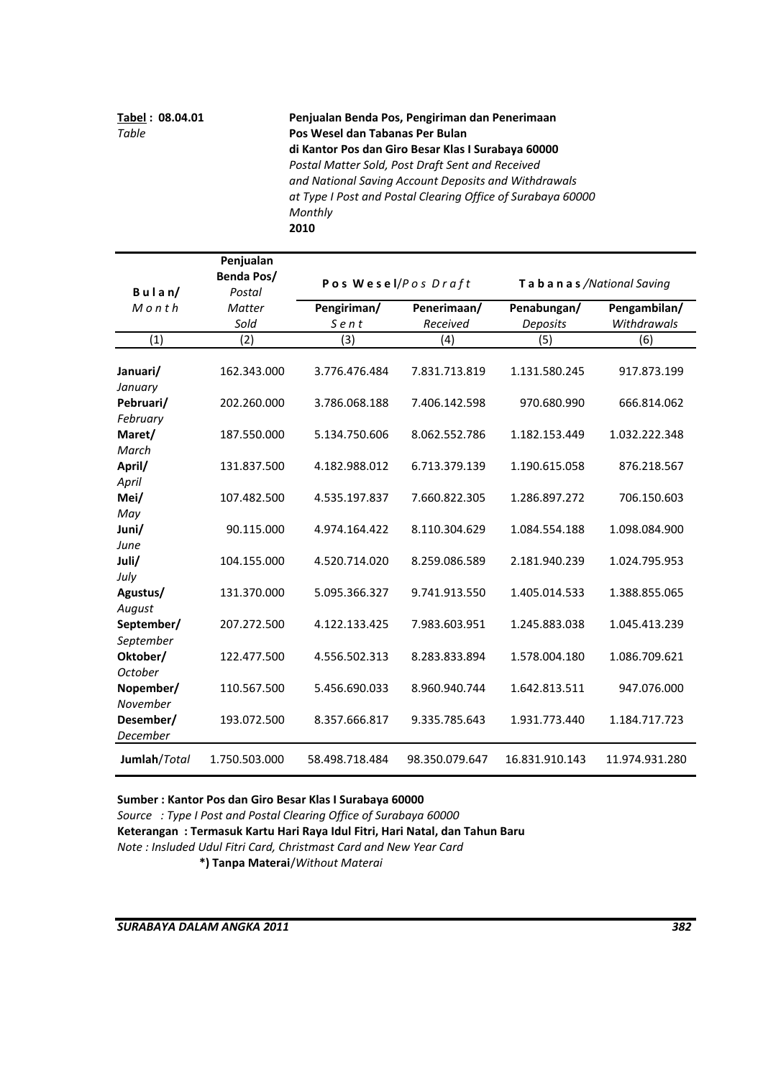**Tabel : 08.04.01 Penjualan Benda Pos, Pengiriman dan Penerimaan** *Table*  **Pos Wesel dan Tabanas Per Bulan di Kantor Pos dan Giro Besar Klas I Surabaya 60000** *Postal Matter Sold, Post Draft Sent and Received and National Saving Account Deposits and Withdrawals at Type I Post and Postal Clearing Office of Surabaya 60000 Monthly*  **2010**

|                       | Penjualan            |                     |                |                         |                |
|-----------------------|----------------------|---------------------|----------------|-------------------------|----------------|
| $B$ ulan/             | Benda Pos/<br>Postal | Pos Wesel/Pos Draft |                | Tabanas/National Saving |                |
| $M$ onth              | Matter               | Pengiriman/         | Penerimaan/    | Penabungan/             | Pengambilan/   |
|                       | Sold                 | Sent                | Received       | Deposits                | Withdrawals    |
| (1)                   | (2)                  | (3)                 | (4)            | (5)                     | (6)            |
| Januari/<br>January   | 162.343.000          | 3.776.476.484       | 7.831.713.819  | 1.131.580.245           | 917.873.199    |
| Pebruari/             | 202.260.000          | 3.786.068.188       | 7.406.142.598  | 970.680.990             | 666.814.062    |
| February              |                      |                     |                |                         |                |
| Maret/                | 187.550.000          | 5.134.750.606       | 8.062.552.786  | 1.182.153.449           | 1.032.222.348  |
| March                 |                      |                     |                |                         |                |
| April/                | 131.837.500          | 4.182.988.012       | 6.713.379.139  | 1.190.615.058           | 876.218.567    |
| April                 |                      |                     |                |                         |                |
| Mei/                  | 107.482.500          | 4.535.197.837       | 7.660.822.305  | 1.286.897.272           | 706.150.603    |
| May<br>Juni/          | 90.115.000           | 4.974.164.422       | 8.110.304.629  | 1.084.554.188           | 1.098.084.900  |
| June                  |                      |                     |                |                         |                |
| Juli/                 | 104.155.000          | 4.520.714.020       | 8.259.086.589  | 2.181.940.239           | 1.024.795.953  |
| July                  |                      |                     |                |                         |                |
| Agustus/              | 131.370.000          | 5.095.366.327       | 9.741.913.550  | 1.405.014.533           | 1.388.855.065  |
| August                |                      |                     |                |                         |                |
| September/            | 207.272.500          | 4.122.133.425       | 7.983.603.951  | 1.245.883.038           | 1.045.413.239  |
| September             |                      |                     |                |                         |                |
| Oktober/              | 122.477.500          | 4.556.502.313       | 8.283.833.894  | 1.578.004.180           | 1.086.709.621  |
| <b>October</b>        |                      |                     |                |                         |                |
| Nopember/             | 110.567.500          | 5.456.690.033       | 8.960.940.744  | 1.642.813.511           | 947.076.000    |
| November              |                      |                     |                |                         |                |
| Desember/<br>December | 193.072.500          | 8.357.666.817       | 9.335.785.643  | 1.931.773.440           | 1.184.717.723  |
|                       |                      |                     |                |                         |                |
| Jumlah/Total          | 1.750.503.000        | 58.498.718.484      | 98.350.079.647 | 16.831.910.143          | 11.974.931.280 |

**Sumber : Kantor Pos dan Giro Besar Klas I Surabaya 60000**

*Source : Type I Post and Postal Clearing Office of Surabaya 60000*

**Keterangan : Termasuk Kartu Hari Raya Idul Fitri, Hari Natal, dan Tahun Baru**

*Note : Insluded Udul Fitri Card, Christmast Card and New Year Card*

**\*) Tanpa Materai**/*Without Materai*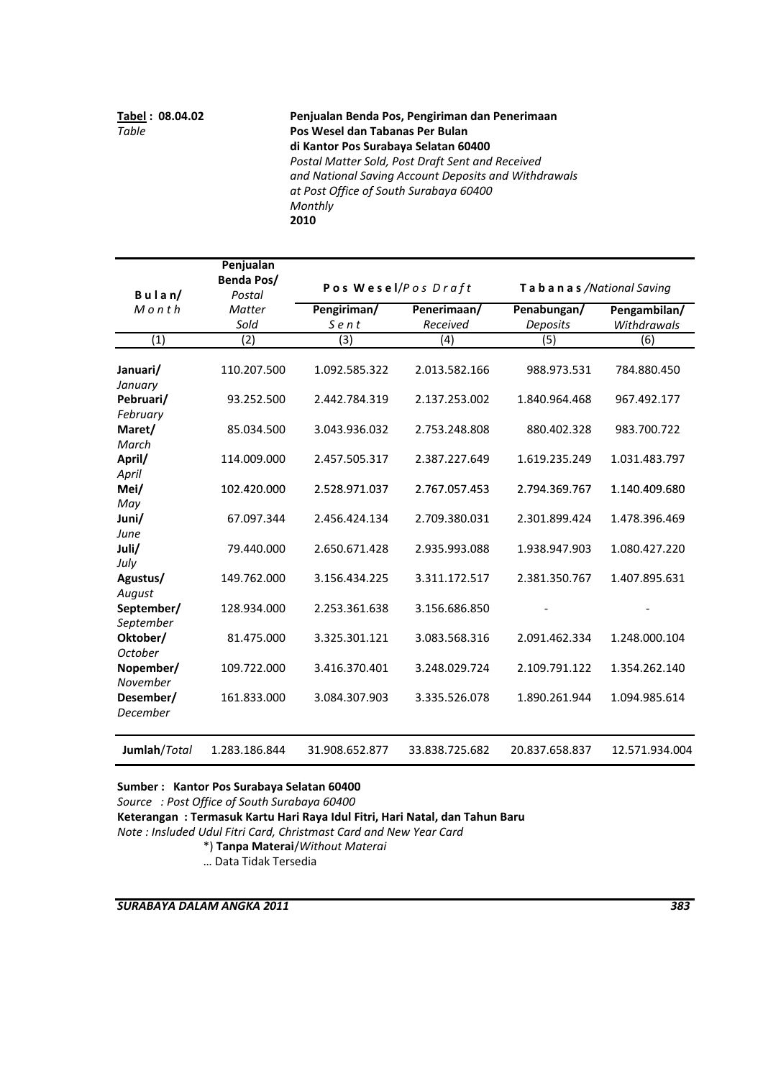**Tabel : 08.04.02 Penjualan Benda Pos, Pengiriman dan Penerimaan** *Table*  **Pos Wesel dan Tabanas Per Bulan di Kantor Pos Surabaya Selatan 60400** *Postal Matter Sold, Post Draft Sent and Received and National Saving Account Deposits and Withdrawals at Post Office of South Surabaya 60400 Monthly*  **2010**

|                             | Penjualan<br>Benda Pos/ | Pos Wesel/Pos Draft |                |                         |                |
|-----------------------------|-------------------------|---------------------|----------------|-------------------------|----------------|
| $B$ ulan/                   | Postal                  |                     |                | Tabanas/National Saving |                |
| $M$ $o$ $n$ $th$            | <b>Matter</b>           | Pengiriman/         | Penerimaan/    | Penabungan/             | Pengambilan/   |
|                             | Sold                    | Sent                | Received       | Deposits                | Withdrawals    |
| (1)                         | (2)                     | (3)                 | (4)            | (5)                     | (6)            |
| Januari/<br>January         | 110.207.500             | 1.092.585.322       | 2.013.582.166  | 988.973.531             | 784.880.450    |
| Pebruari/                   | 93.252.500              | 2.442.784.319       | 2.137.253.002  | 1.840.964.468           | 967.492.177    |
| February<br>Maret/<br>March | 85.034.500              | 3.043.936.032       | 2.753.248.808  | 880.402.328             | 983.700.722    |
| April/<br>April             | 114.009.000             | 2.457.505.317       | 2.387.227.649  | 1.619.235.249           | 1.031.483.797  |
| Mei/<br>May                 | 102.420.000             | 2.528.971.037       | 2.767.057.453  | 2.794.369.767           | 1.140.409.680  |
| Juni/<br>June               | 67.097.344              | 2.456.424.134       | 2.709.380.031  | 2.301.899.424           | 1.478.396.469  |
| Juli/<br>July               | 79.440.000              | 2.650.671.428       | 2.935.993.088  | 1.938.947.903           | 1.080.427.220  |
| Agustus/<br>August          | 149.762.000             | 3.156.434.225       | 3.311.172.517  | 2.381.350.767           | 1.407.895.631  |
| September/<br>September     | 128.934.000             | 2.253.361.638       | 3.156.686.850  |                         |                |
| Oktober/<br>October         | 81.475.000              | 3.325.301.121       | 3.083.568.316  | 2.091.462.334           | 1.248.000.104  |
| Nopember/<br>November       | 109.722.000             | 3.416.370.401       | 3.248.029.724  | 2.109.791.122           | 1.354.262.140  |
| Desember/<br>December       | 161.833.000             | 3.084.307.903       | 3.335.526.078  | 1.890.261.944           | 1.094.985.614  |
| Jumlah/Total                | 1.283.186.844           | 31.908.652.877      | 33.838.725.682 | 20.837.658.837          | 12.571.934.004 |

**Sumber : Kantor Pos Surabaya Selatan 60400** 

*Source : Post Office of South Surabaya 60400* **Keterangan : Termasuk Kartu Hari Raya Idul Fitri, Hari Natal, dan Tahun Baru**

*Note : Insluded Udul Fitri Card, Christmast Card and New Year Card*

\*) **Tanpa Materai**/*Without Materai*

… Data Tidak Tersedia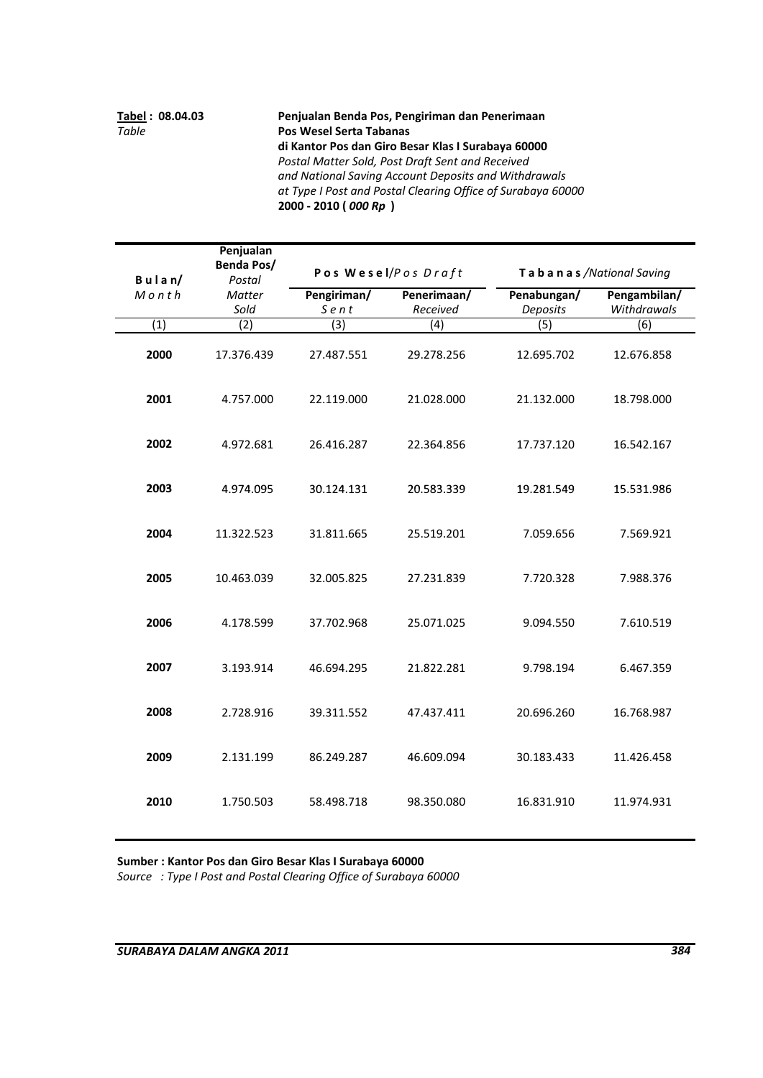**Tabel : 08.04.03 Penjualan Benda Pos, Pengiriman dan Penerimaan** *Table*  **Pos Wesel Serta Tabanas di Kantor Pos dan Giro Besar Klas I Surabaya 60000** *Postal Matter Sold, Post Draft Sent and Received and National Saving Account Deposits and Withdrawals at Type I Post and Postal Clearing Office of Surabaya 60000* **2000 ‐ 2010 (** *000 Rp* **)** 

| $B$ ulan/ | Penjualan<br>Benda Pos/<br>Postal |                     | Pos Wesel/Pos Draft     |                         | Tabanas / National Saving   |
|-----------|-----------------------------------|---------------------|-------------------------|-------------------------|-----------------------------|
| Month     | <b>Matter</b><br>Sold             | Pengiriman/<br>Sent | Penerimaan/<br>Received | Penabungan/<br>Deposits | Pengambilan/<br>Withdrawals |
| (1)       | (2)                               | $\overline{3)}$     | $\overline{(4)}$        | (5)                     | (6)                         |
| 2000      | 17.376.439                        | 27.487.551          | 29.278.256              | 12.695.702              | 12.676.858                  |
| 2001      | 4.757.000                         | 22.119.000          | 21.028.000              | 21.132.000              | 18.798.000                  |
| 2002      | 4.972.681                         | 26.416.287          | 22.364.856              | 17.737.120              | 16.542.167                  |
| 2003      | 4.974.095                         | 30.124.131          | 20.583.339              | 19.281.549              | 15.531.986                  |
| 2004      | 11.322.523                        | 31.811.665          | 25.519.201              | 7.059.656               | 7.569.921                   |
| 2005      | 10.463.039                        | 32.005.825          | 27.231.839              | 7.720.328               | 7.988.376                   |
| 2006      | 4.178.599                         | 37.702.968          | 25.071.025              | 9.094.550               | 7.610.519                   |
| 2007      | 3.193.914                         | 46.694.295          | 21.822.281              | 9.798.194               | 6.467.359                   |
| 2008      | 2.728.916                         | 39.311.552          | 47.437.411              | 20.696.260              | 16.768.987                  |
| 2009      | 2.131.199                         | 86.249.287          | 46.609.094              | 30.183.433              | 11.426.458                  |
| 2010      | 1.750.503                         | 58.498.718          | 98.350.080              | 16.831.910              | 11.974.931                  |

**Sumber : Kantor Pos dan Giro Besar Klas I Surabaya 60000**

*Source : Type I Post and Postal Clearing Office of Surabaya 60000*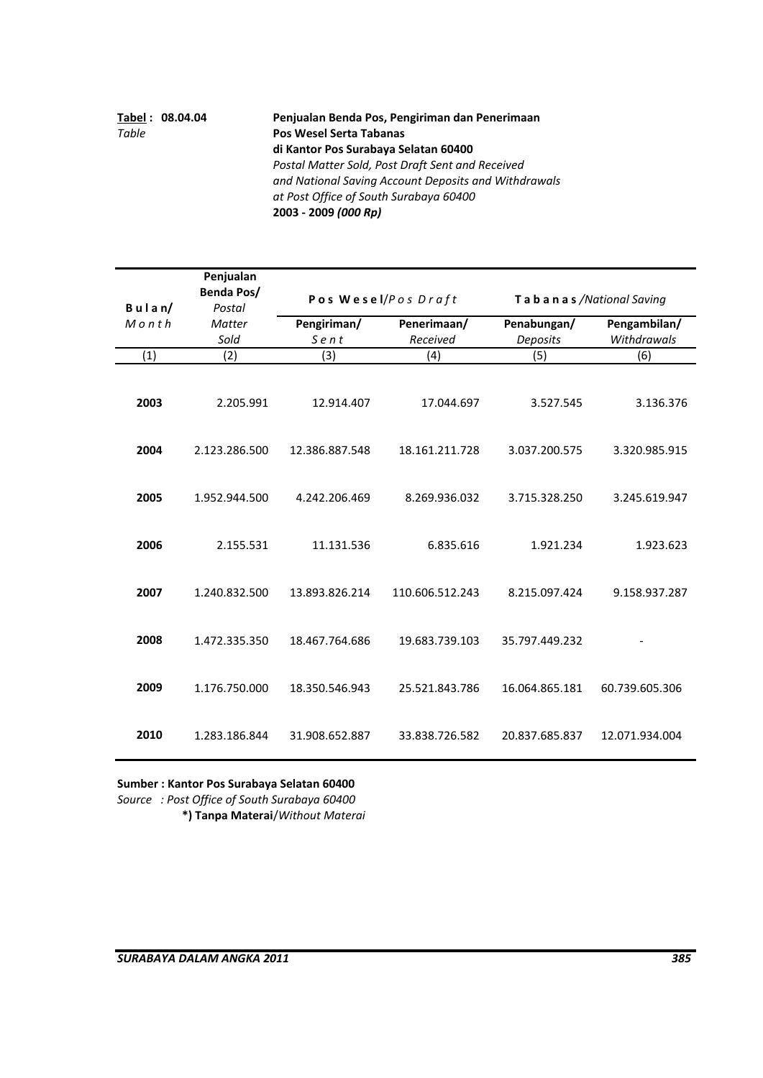|       | Tabel: 08.04.04                                  | Penjualan Benda Pos, Pengiriman dan Penerimaan       |
|-------|--------------------------------------------------|------------------------------------------------------|
| Table | <b>Pos Wesel Serta Tabanas</b>                   |                                                      |
|       |                                                  | di Kantor Pos Surabaya Selatan 60400                 |
|       | Postal Matter Sold, Post Draft Sent and Received |                                                      |
|       |                                                  | and National Saving Account Deposits and Withdrawals |
|       |                                                  | at Post Office of South Surabaya 60400               |
|       |                                                  | 2003 - 2009 (000 Rp)                                 |

|                        | Penjualan<br>Benda Pos/  |                     | Pos Wesel/Pos Draft     | Tabanas/National Saving |                             |
|------------------------|--------------------------|---------------------|-------------------------|-------------------------|-----------------------------|
| $B$ ulan/<br>$M$ on th | Postal<br>Matter<br>Sold | Pengiriman/<br>Sent | Penerimaan/<br>Received | Penabungan/<br>Deposits | Pengambilan/<br>Withdrawals |
| (1)                    | (2)                      | (3)                 | (4)                     | (5)                     | (6)                         |
|                        |                          |                     |                         |                         |                             |
| 2003                   | 2.205.991                | 12.914.407          | 17.044.697              | 3.527.545               | 3.136.376                   |
| 2004                   | 2.123.286.500            | 12.386.887.548      | 18.161.211.728          | 3.037.200.575           | 3.320.985.915               |
| 2005                   | 1.952.944.500            | 4.242.206.469       | 8.269.936.032           | 3.715.328.250           | 3.245.619.947               |
| 2006                   | 2.155.531                | 11.131.536          | 6.835.616               | 1.921.234               | 1.923.623                   |
| 2007                   | 1.240.832.500            | 13.893.826.214      | 110.606.512.243         | 8.215.097.424           | 9.158.937.287               |
| 2008                   | 1.472.335.350            | 18.467.764.686      | 19.683.739.103          | 35.797.449.232          |                             |
| 2009                   | 1.176.750.000            | 18.350.546.943      | 25.521.843.786          | 16.064.865.181          | 60.739.605.306              |
| 2010                   | 1.283.186.844            | 31.908.652.887      | 33.838.726.582          | 20.837.685.837          | 12.071.934.004              |

**Sumber : Kantor Pos Surabaya Selatan 60400**  *Source : Post Office of South Surabaya 60400*

**\*) Tanpa Materai**/*Without Materai*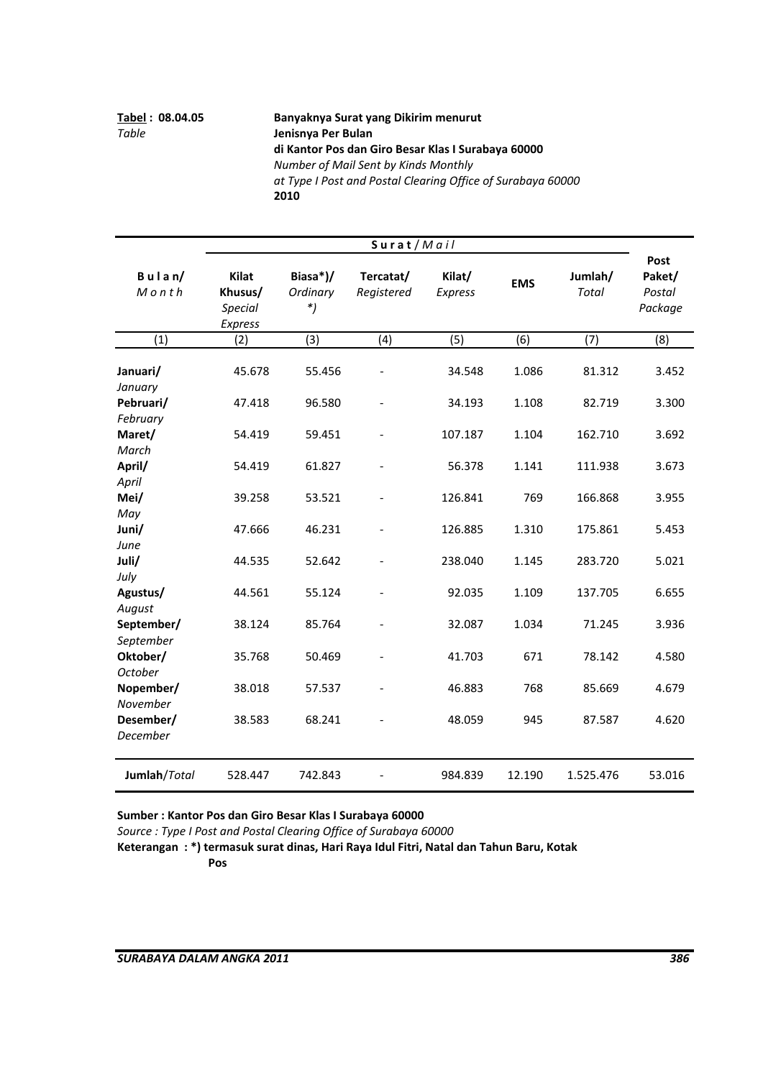**Tabel : 08.04.05 Banyaknya Surat yang Dikirim menurut** *Table*  **Jenisnya Per Bulan di Kantor Pos dan Giro Besar Klas I Surabaya 60000** *Number of Mail Sent by Kinds Monthly at Type I Post and Postal Clearing Office of Surabaya 60000* **2010**

|                                              | Surat/Mail                                    |                            |                          |                    |                |                         |                                     |
|----------------------------------------------|-----------------------------------------------|----------------------------|--------------------------|--------------------|----------------|-------------------------|-------------------------------------|
| $B$ ulan/<br>Month                           | Kilat<br>Khusus/<br><b>Special</b><br>Express | Biasa*)/<br>Ordinary<br>*) | Tercatat/<br>Registered  | Kilat/<br>Express  | <b>EMS</b>     | Jumlah/<br><b>Total</b> | Post<br>Paket/<br>Postal<br>Package |
| $\overline{(1)}$                             | (2)                                           | (3)                        | (4)                      | (5)                | (6)            | (7)                     | (8)                                 |
| Januari/<br>January<br>Pebruari/<br>February | 45.678<br>47.418                              | 55.456<br>96.580           |                          | 34.548<br>34.193   | 1.086<br>1.108 | 81.312<br>82.719        | 3.452<br>3.300                      |
| Maret/<br>March<br>April/                    | 54.419<br>54.419                              | 59.451<br>61.827           |                          | 107.187<br>56.378  | 1.104<br>1.141 | 162.710<br>111.938      | 3.692<br>3.673                      |
| April<br>Mei/<br>May                         | 39.258                                        | 53.521                     |                          | 126.841            | 769            | 166.868                 | 3.955                               |
| Juni/<br>June<br>Juli/                       | 47.666<br>44.535                              | 46.231<br>52.642           | $\overline{\phantom{a}}$ | 126.885<br>238.040 | 1.310<br>1.145 | 175.861<br>283.720      | 5.453<br>5.021                      |
| July<br>Agustus/<br>August                   | 44.561                                        | 55.124                     |                          | 92.035             | 1.109          | 137.705                 | 6.655                               |
| September/<br>September<br>Oktober/          | 38.124<br>35.768                              | 85.764<br>50.469           |                          | 32.087<br>41.703   | 1.034<br>671   | 71.245<br>78.142        | 3.936<br>4.580                      |
| October<br>Nopember/<br>November             | 38.018                                        | 57.537                     |                          | 46.883             | 768            | 85.669                  | 4.679                               |
| Desember/<br>December                        | 38.583                                        | 68.241                     |                          | 48.059             | 945            | 87.587                  | 4.620                               |
| Jumlah/Total                                 | 528.447                                       | 742.843                    |                          | 984.839            | 12.190         | 1.525.476               | 53.016                              |

**Sumber : Kantor Pos dan Giro Besar Klas I Surabaya 60000**

*Source : Type I Post and Postal Clearing Office of Surabaya 60000*

**Keterangan : \*) termasuk surat dinas, Hari Raya Idul Fitri, Natal dan Tahun Baru, Kotak**

**Pos**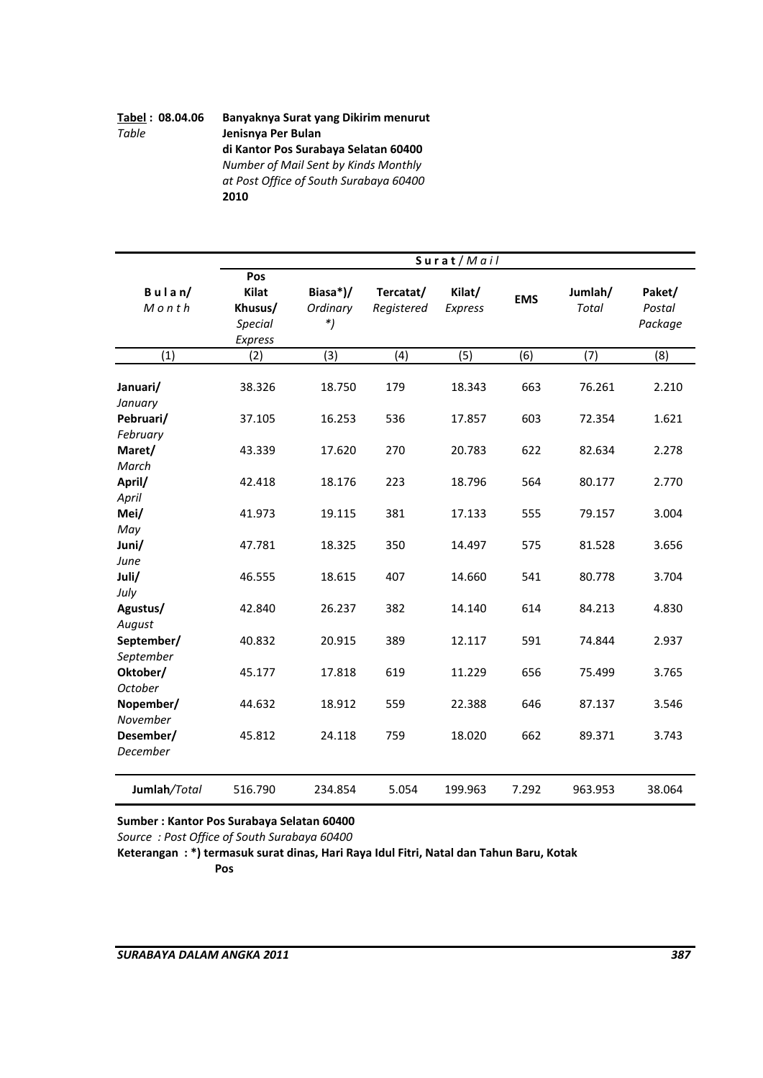# **Tabel : 08.04.06 Banyaknya Surat yang Dikirim menurut** *Table*  **Jenisnya Per Bulan di Kantor Pos Surabaya Selatan 60400** *Number of Mail Sent by Kinds Monthly at Post Office of South Surabaya 60400* **2010**

 **Januari/** 38.326 18.750 179 18.343 663 76.261 2.210 *January* **Pebruari/** 37.105 16.253 536 17.857 603 72.354 1.621 *February* **Maret/** 43.339 17.620 270 20.783 622 82.634 2.278 *March* **April/** 42.418 18.176 223 18.796 564 80.177 2.770  $(7)$   $(8)$ **Kilat Jumlah/ Biasa\*)/ EMS Tercatat/ Kilat/** *Special \*) Package Express Total* **B u l a n/** *Postal* (1) (2) (3) (4) (5) (6) **S u r a t** / *M a i l* **Paket/** *M o n t h* **Khusus/** *Ordinary Registered Express* **Pos** 42.418 18.176 223 18.796 564 80.177 *April* **Mei/** 41.973 19.115 381 17.133 555 79.157 3.004 *May* **Juni/** 47.781 18.325 350 14.497 575 81.528 3.656 *June* **Juli/** 46.555 18.615 407 14.660 541 80.778 3.704 *July* **Agustus/** 42.840 26.237 382 14.140 614 84.213 4.830 *August* **September/** 40.832 20.915 389 12.117 591 74.844 2.937 *September* **Oktober/** 45.177 17.818 619 11.229 656 75.499 3.765 *October* **Nopember/** 44.632 18.912 559 22.388 646 87.137 3.546 *November* **Desember/** 45.812 24.118 759 18.020 662 89.371 3.743 *December* **Jumlah***/Total* 516.790 234.854 5.054 199.963 7.292 963.953 38.064

**Sumber : Kantor Pos Surabaya Selatan 60400**

*Source : Post Office of South Surabaya 60400*

**Keterangan : \*) termasuk surat dinas, Hari Raya Idul Fitri, Natal dan Tahun Baru, Kotak Pos**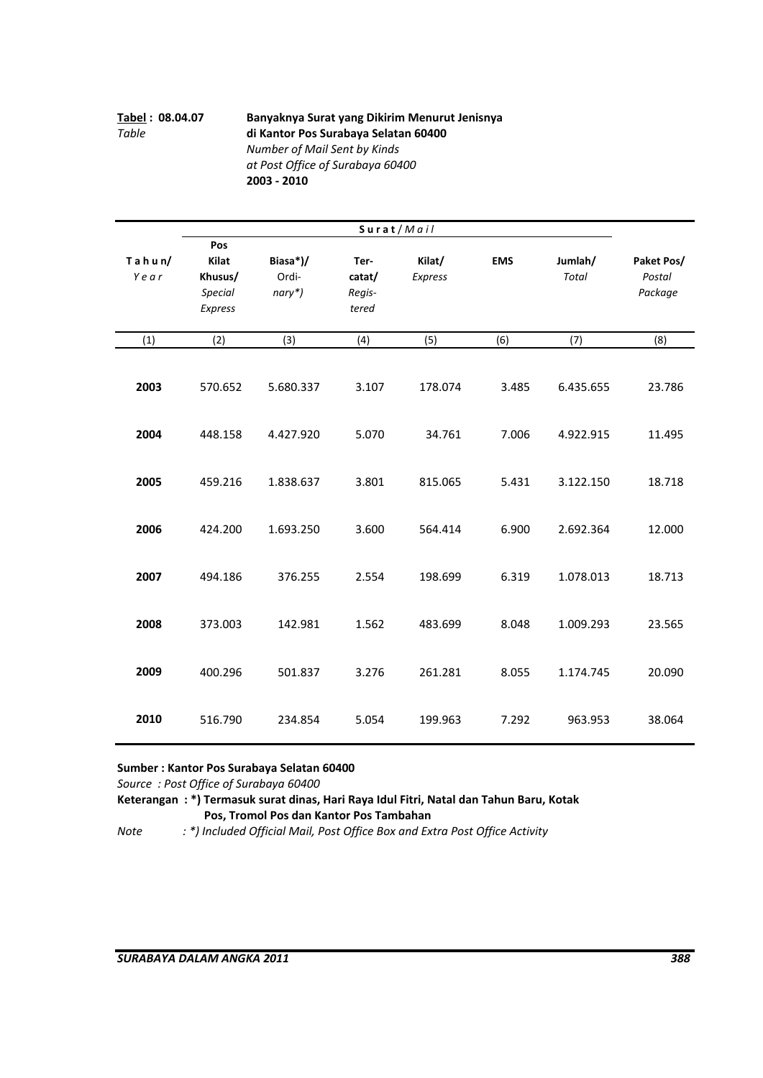# **Tabel : 08.04.07 Banyaknya Surat yang Dikirim Menurut Jenisnya** *Table*  **di Kantor Pos Surabaya Selatan 60400**  *Number of Mail Sent by Kinds at Post Office of Surabaya 60400* **2003 ‐ 2010**

|                   |                                                      |                             | Surat/Mail                        |                   |            |                  |                                 |
|-------------------|------------------------------------------------------|-----------------------------|-----------------------------------|-------------------|------------|------------------|---------------------------------|
| $T$ ahun/<br>Year | Pos<br>Kilat<br>Khusus/<br><b>Special</b><br>Express | Biasa*)/<br>Ordi-<br>nary*) | Ter-<br>catat/<br>Regis-<br>tered | Kilat/<br>Express | <b>EMS</b> | Jumlah/<br>Total | Paket Pos/<br>Postal<br>Package |
| (1)               | (2)                                                  | (3)                         | (4)                               | (5)               | (6)        | (7)              | (8)                             |
| 2003              | 570.652                                              | 5.680.337                   | 3.107                             | 178.074           | 3.485      | 6.435.655        | 23.786                          |
| 2004              | 448.158                                              | 4.427.920                   | 5.070                             | 34.761            | 7.006      | 4.922.915        | 11.495                          |
| 2005              | 459.216                                              | 1.838.637                   | 3.801                             | 815.065           | 5.431      | 3.122.150        | 18.718                          |
| 2006              | 424.200                                              | 1.693.250                   | 3.600                             | 564.414           | 6.900      | 2.692.364        | 12.000                          |
| 2007              | 494.186                                              | 376.255                     | 2.554                             | 198.699           | 6.319      | 1.078.013        | 18.713                          |
| 2008              | 373.003                                              | 142.981                     | 1.562                             | 483.699           | 8.048      | 1.009.293        | 23.565                          |
| 2009              | 400.296                                              | 501.837                     | 3.276                             | 261.281           | 8.055      | 1.174.745        | 20.090                          |
| 2010              | 516.790                                              | 234.854                     | 5.054                             | 199.963           | 7.292      | 963.953          | 38.064                          |

# **Sumber : Kantor Pos Surabaya Selatan 60400**

*Source : Post Office of Surabaya 60400* 

**Keterangan : \*) Termasuk surat dinas, Hari Raya Idul Fitri, Natal dan Tahun Baru, Kotak Pos, Tromol Pos dan Kantor Pos Tambahan** 

*Note : \*) Included Official Mail, Post Office Box and Extra Post Office Activity*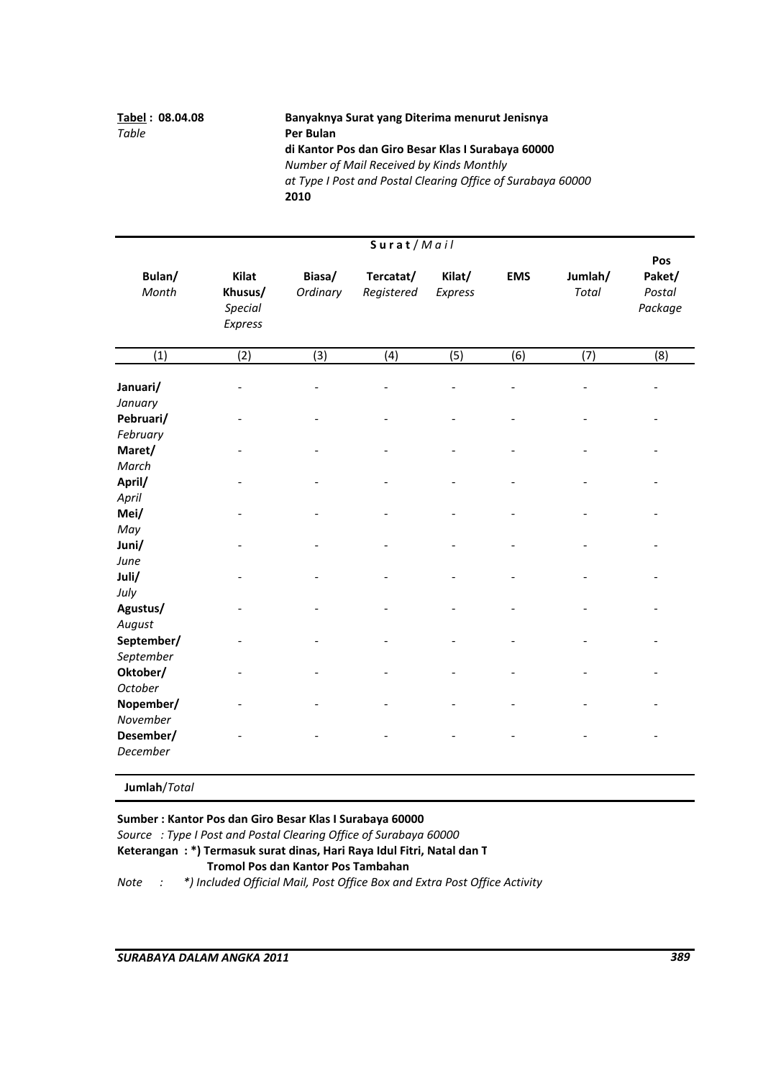# **Tabel : 08.04.08 Banyaknya Surat yang Diterima menurut Jenisnya di Kantor Pos dan Giro Besar Klas I Surabaya 60000** *Number of Mail Received by Kinds Monthly at Type I Post and Postal Clearing Office of Surabaya 60000* **2010**

|                                  |                                               |                    | Surat/Mail              |                   |            |                         |                                    |
|----------------------------------|-----------------------------------------------|--------------------|-------------------------|-------------------|------------|-------------------------|------------------------------------|
| Bulan/<br>Month                  | Kilat<br>Khusus/<br><b>Special</b><br>Express | Biasa/<br>Ordinary | Tercatat/<br>Registered | Kilat/<br>Express | <b>EMS</b> | Jumlah/<br><b>Total</b> | Pos<br>Paket/<br>Postal<br>Package |
| (1)                              | $\overline{(2)}$                              | $\overline{3}$     | (4)                     | (5)               | (6)        | $\overline{(7)}$        | (8)                                |
| Januari/<br>January              |                                               |                    |                         |                   |            |                         |                                    |
| Pebruari/                        |                                               |                    |                         |                   |            |                         |                                    |
| February<br>Maret/<br>March      |                                               |                    |                         |                   |            |                         |                                    |
| April/<br>April                  |                                               |                    |                         |                   |            |                         |                                    |
| Mei/<br>May                      |                                               |                    |                         |                   |            |                         |                                    |
| Juni/<br>June                    |                                               |                    |                         |                   |            |                         |                                    |
| Juli/<br>July                    |                                               |                    |                         |                   |            |                         |                                    |
| Agustus/<br>August<br>September/ |                                               |                    |                         |                   |            |                         |                                    |
| September<br>Oktober/            |                                               |                    |                         |                   |            |                         |                                    |
| <b>October</b><br>Nopember/      |                                               |                    |                         |                   |            |                         |                                    |
| November<br>Desember/            |                                               |                    |                         |                   |            |                         |                                    |
| December                         |                                               |                    |                         |                   |            |                         |                                    |

**Jumlah**/*Total*

**Sumber : Kantor Pos dan Giro Besar Klas I Surabaya 60000**

*Source : Type I Post and Postal Clearing Office of Surabaya 60000*

**Keterangan : \*) Termasuk surat dinas, Hari Raya Idul Fitri, Natal dan T**

# **Tromol Pos dan Kantor Pos Tambahan**

*Note : \*) Included Official Mail, Post Office Box and Extra Post Office Activity*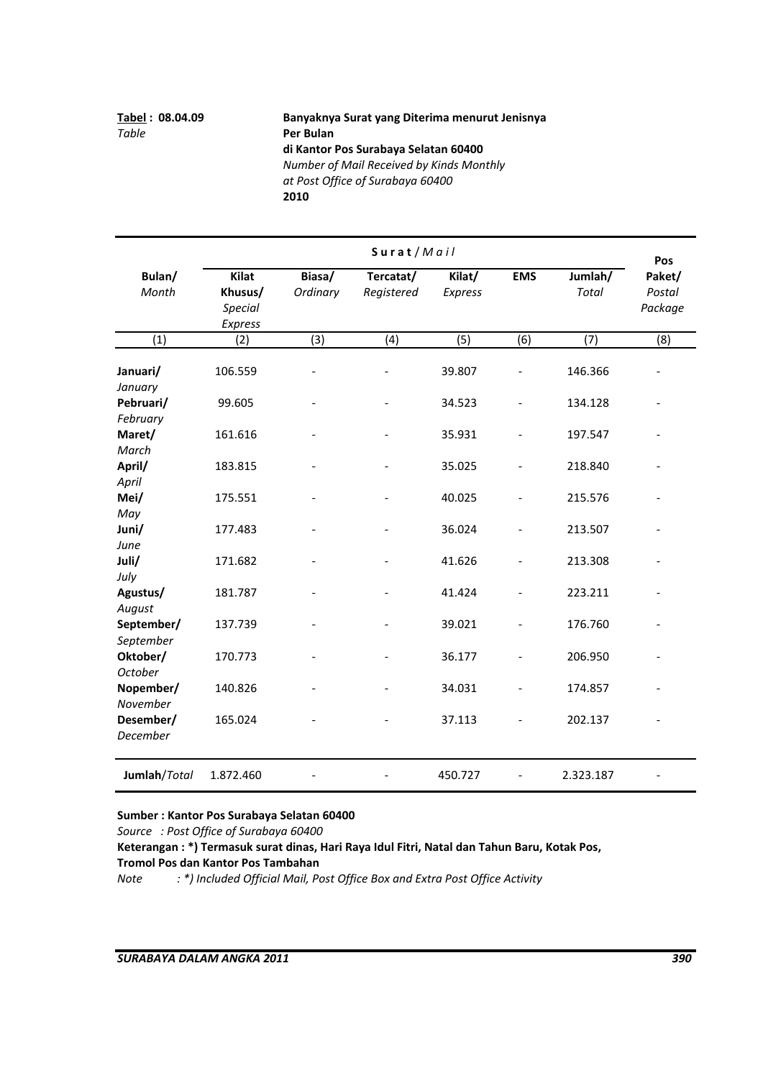# **Tabel : 08.04.09 Banyaknya Surat yang Diterima menurut Jenisnya di Kantor Pos Surabaya Selatan 60400** *Number of Mail Received by Kinds Monthly at Post Office of Surabaya 60400*  **2010**

|                                   |                                                      |                          | Surat/Mail              |                   |                          |                         | Pos                         |
|-----------------------------------|------------------------------------------------------|--------------------------|-------------------------|-------------------|--------------------------|-------------------------|-----------------------------|
| Bulan/<br>Month                   | <b>Kilat</b><br>Khusus/<br><b>Special</b><br>Express | Biasa/<br>Ordinary       | Tercatat/<br>Registered | Kilat/<br>Express | <b>EMS</b>               | Jumlah/<br><b>Total</b> | Paket/<br>Postal<br>Package |
| $\overline{(1)}$                  | (2)                                                  | (3)                      | (4)                     | (5)               | (6)                      | (7)                     | (8)                         |
| Januari/<br>January               | 106.559                                              |                          |                         | 39.807            |                          | 146.366                 |                             |
| Pebruari/                         | 99.605                                               |                          |                         | 34.523            |                          | 134.128                 |                             |
| February<br>Maret/<br>March       | 161.616                                              |                          |                         | 35.931            |                          | 197.547                 |                             |
| April/                            | 183.815                                              | $\overline{\phantom{0}}$ |                         | 35.025            | $\overline{\phantom{0}}$ | 218.840                 |                             |
| April<br>Mei/<br>May              | 175.551                                              |                          |                         | 40.025            |                          | 215.576                 |                             |
| Juni/                             | 177.483                                              |                          |                         | 36.024            |                          | 213.507                 |                             |
| June<br>Juli/<br>July             | 171.682                                              |                          |                         | 41.626            | $\overline{\phantom{0}}$ | 213.308                 |                             |
| Agustus/                          | 181.787                                              |                          |                         | 41.424            |                          | 223.211                 |                             |
| August<br>September/<br>September | 137.739                                              |                          |                         | 39.021            |                          | 176.760                 |                             |
| Oktober/                          | 170.773                                              | $\overline{\phantom{0}}$ |                         | 36.177            | $\overline{a}$           | 206.950                 |                             |
| October<br>Nopember/<br>November  | 140.826                                              |                          |                         | 34.031            |                          | 174.857                 |                             |
| Desember/<br>December             | 165.024                                              |                          |                         | 37.113            |                          | 202.137                 |                             |
| Jumlah/Total                      | 1.872.460                                            |                          |                         | 450.727           |                          | 2.323.187               |                             |

### **Sumber : Kantor Pos Surabaya Selatan 60400**

*Source : Post Office of Surabaya 60400* 

**Keterangan : \*) Termasuk surat dinas, Hari Raya Idul Fitri, Natal dan Tahun Baru, Kotak Pos,**

**Tromol Pos dan Kantor Pos Tambahan** 

*Note : \*) Included Official Mail, Post Office Box and Extra Post Office Activity*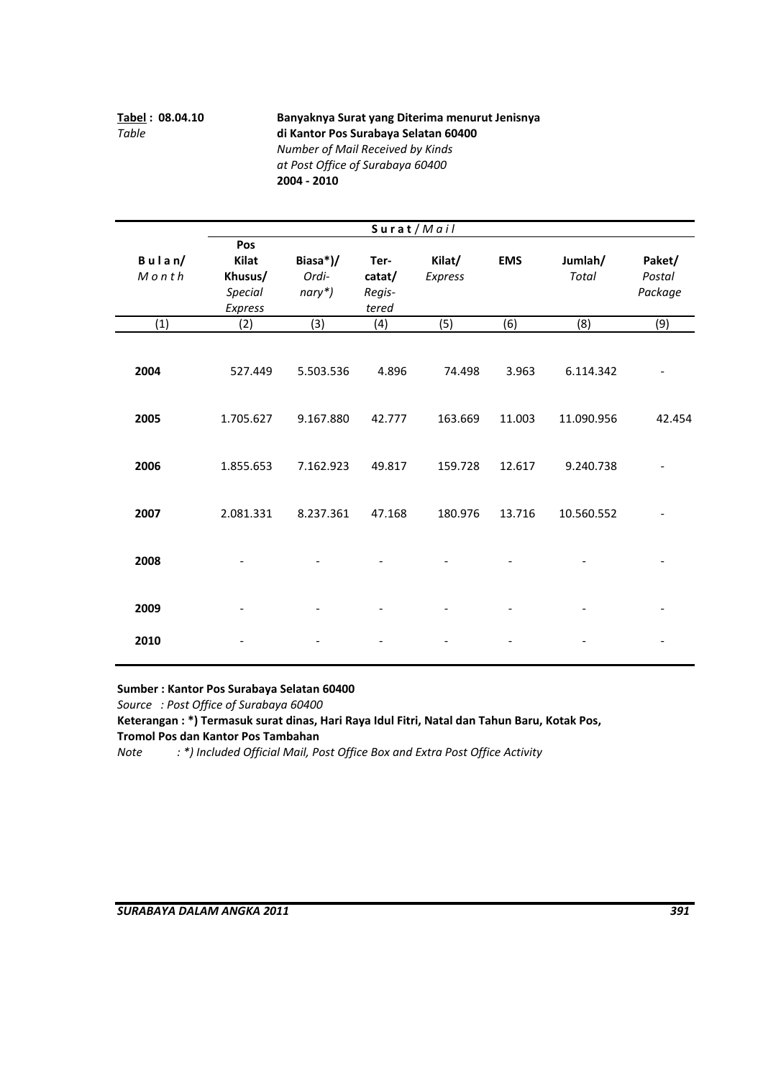**Tabel : 08.04.10 Banyaknya Surat yang Diterima menurut Jenisnya** *Table*  **di Kantor Pos Surabaya Selatan 60400** *Number of Mail Received by Kinds at Post Office of Surabaya 60400* 

**2004 ‐ 2010**

**Biasa\*)/ Ter‐ Kilat/ EMS Jumlah/ Paket/** *Ordi‐* **catat/** *Express Total Postal nary\*) Regis‐ Package tered Express* (3) (4) (5) (6) (8) (9) **2004** 527.449 5.503.536 4.896 74.498 3.963 6.114.342 ‐ **2005** 1.705.627 9.167.880 42.777 163.669 11.003 11.090.956 42.454 **2006** 1.855.653 7.162.923 49.817 159.728 12.617 9.240.738 ‐ **Khusus/** *Special*  $(1)$   $(2)$ **S u r a t** / *M a i l* **Pos B u l a n/ Kilat** *M o n t h* **2007** 2.081.331 8.237.361 47.168 180.976 13.716 10.560.552 ‐ **2008** ‐ ‐‐ ‐‐ ‐ ‐ **2009** ‐ ‐‐ ‐‐ ‐ ‐ **2010** ‐ ‐‐ ‐‐ ‐ ‐

**Sumber : Kantor Pos Surabaya Selatan 60400**

*Source : Post Office of Surabaya 60400* 

**Keterangan : \*) Termasuk surat dinas, Hari Raya Idul Fitri, Natal dan Tahun Baru, Kotak Pos, Tromol Pos dan Kantor Pos Tambahan** 

*Note : \*) Included Official Mail, Post Office Box and Extra Post Office Activity*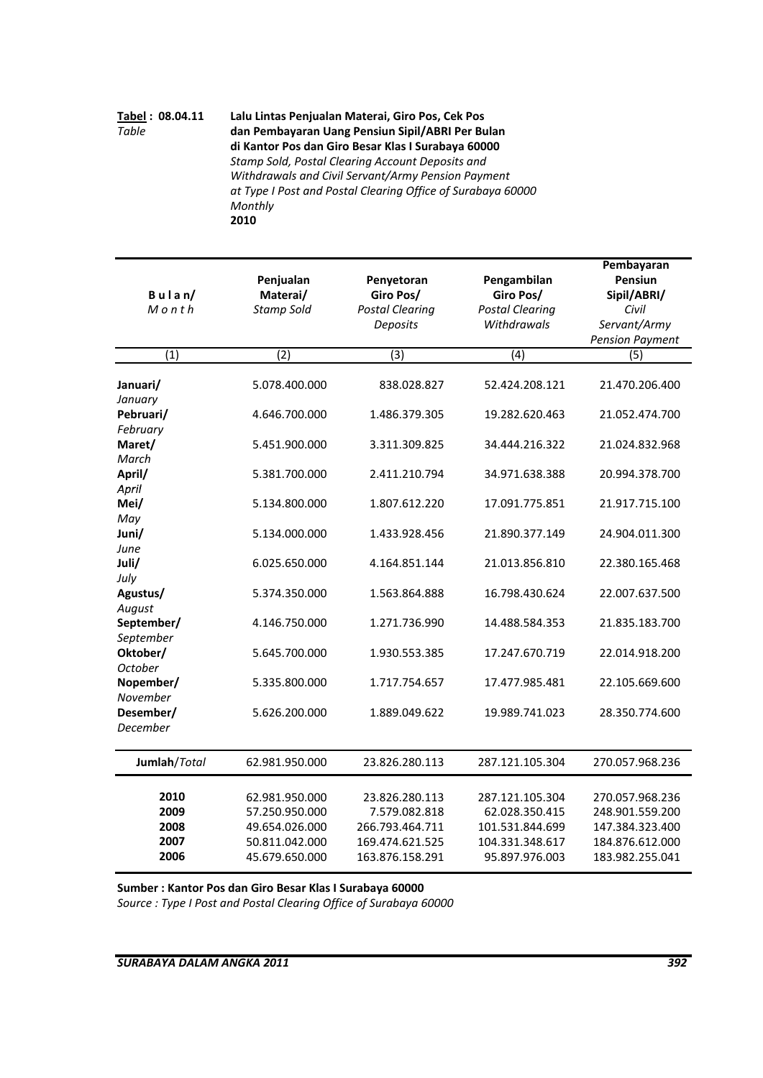### **Tabel : 08.04.11 Lalu Lintas Penjualan Materai, Giro Pos, Cek Pos** *Table*  **dan Pembayaran Uang Pensiun Sipil/ABRI Per Bulan di Kantor Pos dan Giro Besar Klas I Surabaya 60000**  *Stamp Sold, Postal Clearing Account Deposits and Withdrawals and Civil Servant/Army Pension Payment at Type I Post and Postal Clearing Office of Surabaya 60000 Monthly*  **2010**

|                  |                       |                         | Pengambilan            | Pembayaran<br>Pensiun  |
|------------------|-----------------------|-------------------------|------------------------|------------------------|
| $B$ ulan/        | Penjualan<br>Materai/ | Penyetoran<br>Giro Pos/ | Giro Pos/              | Sipil/ABRI/            |
| $M$ on th        | <b>Stamp Sold</b>     | <b>Postal Clearing</b>  | <b>Postal Clearing</b> | Civil                  |
|                  |                       | Deposits                | Withdrawals            | Servant/Army           |
|                  |                       |                         |                        | <b>Pension Payment</b> |
| (1)              | (2)                   | (3)                     | (4)                    | (5)                    |
|                  |                       |                         |                        |                        |
| Januari/         | 5.078.400.000         | 838.028.827             | 52.424.208.121         | 21.470.206.400         |
| January          |                       |                         |                        |                        |
| Pebruari/        | 4.646.700.000         | 1.486.379.305           | 19.282.620.463         | 21.052.474.700         |
| February         |                       |                         |                        |                        |
| Maret/           | 5.451.900.000         | 3.311.309.825           | 34.444.216.322         | 21.024.832.968         |
| March            |                       |                         |                        |                        |
| April/           | 5.381.700.000         | 2.411.210.794           | 34.971.638.388         | 20.994.378.700         |
| April            |                       |                         |                        |                        |
| Mei/             | 5.134.800.000         | 1.807.612.220           | 17.091.775.851         | 21.917.715.100         |
| May              |                       |                         |                        |                        |
| Juni/            | 5.134.000.000         | 1.433.928.456           | 21.890.377.149         | 24.904.011.300         |
| June             |                       |                         |                        |                        |
| Juli/            | 6.025.650.000         | 4.164.851.144           | 21.013.856.810         | 22.380.165.468         |
| July<br>Agustus/ | 5.374.350.000         | 1.563.864.888           | 16.798.430.624         | 22.007.637.500         |
| August           |                       |                         |                        |                        |
| September/       | 4.146.750.000         | 1.271.736.990           | 14.488.584.353         | 21.835.183.700         |
| September        |                       |                         |                        |                        |
| Oktober/         | 5.645.700.000         | 1.930.553.385           | 17.247.670.719         | 22.014.918.200         |
| October          |                       |                         |                        |                        |
| Nopember/        | 5.335.800.000         | 1.717.754.657           | 17.477.985.481         | 22.105.669.600         |
| November         |                       |                         |                        |                        |
| Desember/        | 5.626.200.000         | 1.889.049.622           | 19.989.741.023         | 28.350.774.600         |
| December         |                       |                         |                        |                        |
| Jumlah/Total     | 62.981.950.000        | 23.826.280.113          | 287.121.105.304        | 270.057.968.236        |
|                  |                       |                         |                        |                        |
| 2010             | 62.981.950.000        | 23.826.280.113          | 287.121.105.304        | 270.057.968.236        |
| 2009             | 57.250.950.000        | 7.579.082.818           | 62.028.350.415         | 248.901.559.200        |
| 2008             | 49.654.026.000        | 266.793.464.711         | 101.531.844.699        | 147.384.323.400        |
| 2007             | 50.811.042.000        | 169.474.621.525         | 104.331.348.617        | 184.876.612.000        |
| 2006             | 45.679.650.000        | 163.876.158.291         | 95.897.976.003         | 183.982.255.041        |

**Sumber : Kantor Pos dan Giro Besar Klas I Surabaya 60000** 

*Source : Type I Post and Postal Clearing Office of Surabaya 60000*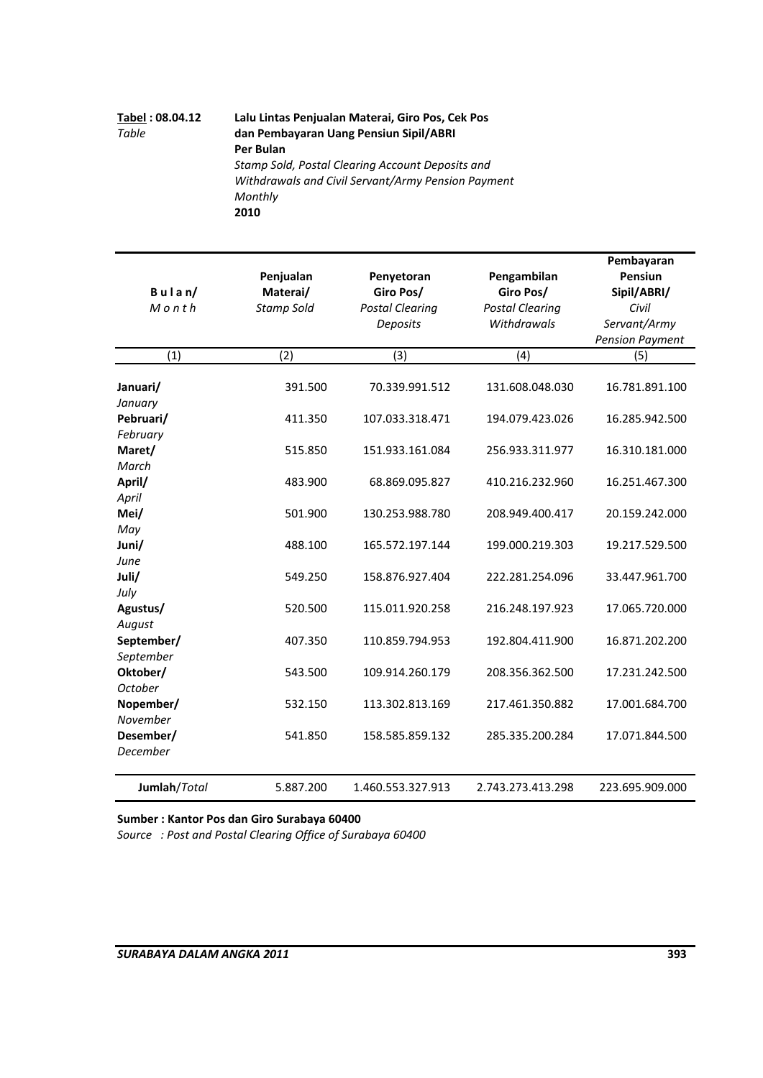# **Tabel : 08.04.12 Lalu Lintas Penjualan Materai, Giro Pos, Cek Pos** *Table*  **dan Pembayaran Uang Pensiun Sipil/ABRI Per Bulan** *Stamp Sold, Postal Clearing Account Deposits and Withdrawals and Civil Servant/Army Pension Payment Monthly*  **2010**

|               |                   |                        |                        | Pembayaran             |
|---------------|-------------------|------------------------|------------------------|------------------------|
|               | Penjualan         | Penyetoran             | Pengambilan            | Pensiun                |
| $B$ ulan/     | Materai/          | Giro Pos/              | Giro Pos/              | Sipil/ABRI/            |
| $M$ onth      | <b>Stamp Sold</b> | <b>Postal Clearing</b> | <b>Postal Clearing</b> | Civil                  |
|               |                   | Deposits               | Withdrawals            | Servant/Army           |
|               |                   |                        |                        | <b>Pension Payment</b> |
| (1)           | (2)               | (3)                    | (4)                    | (5)                    |
|               |                   |                        |                        |                        |
| Januari/      | 391.500           | 70.339.991.512         | 131.608.048.030        | 16.781.891.100         |
| January       |                   |                        |                        |                        |
| Pebruari/     | 411.350           | 107.033.318.471        | 194.079.423.026        | 16.285.942.500         |
| February      |                   |                        |                        |                        |
| Maret/        | 515.850           | 151.933.161.084        | 256.933.311.977        | 16.310.181.000         |
| March         |                   |                        |                        |                        |
| April/        | 483.900           | 68.869.095.827         | 410.216.232.960        | 16.251.467.300         |
| April<br>Mei/ | 501.900           | 130.253.988.780        | 208.949.400.417        | 20.159.242.000         |
| May           |                   |                        |                        |                        |
| Juni/         | 488.100           | 165.572.197.144        | 199.000.219.303        | 19.217.529.500         |
| June          |                   |                        |                        |                        |
| Juli/         | 549.250           | 158.876.927.404        | 222.281.254.096        | 33.447.961.700         |
| July          |                   |                        |                        |                        |
| Agustus/      | 520.500           | 115.011.920.258        | 216.248.197.923        | 17.065.720.000         |
| August        |                   |                        |                        |                        |
| September/    | 407.350           | 110.859.794.953        | 192.804.411.900        | 16.871.202.200         |
| September     |                   |                        |                        |                        |
| Oktober/      | 543.500           | 109.914.260.179        | 208.356.362.500        | 17.231.242.500         |
| October       |                   |                        |                        |                        |
| Nopember/     | 532.150           | 113.302.813.169        | 217.461.350.882        | 17.001.684.700         |
| November      |                   |                        |                        |                        |
| Desember/     | 541.850           | 158.585.859.132        | 285.335.200.284        | 17.071.844.500         |
| December      |                   |                        |                        |                        |
| Jumlah/Total  | 5.887.200         | 1.460.553.327.913      | 2.743.273.413.298      | 223.695.909.000        |

**Sumber : Kantor Pos dan Giro Surabaya 60400**

*Source : Post and Postal Clearing Office of Surabaya 60400*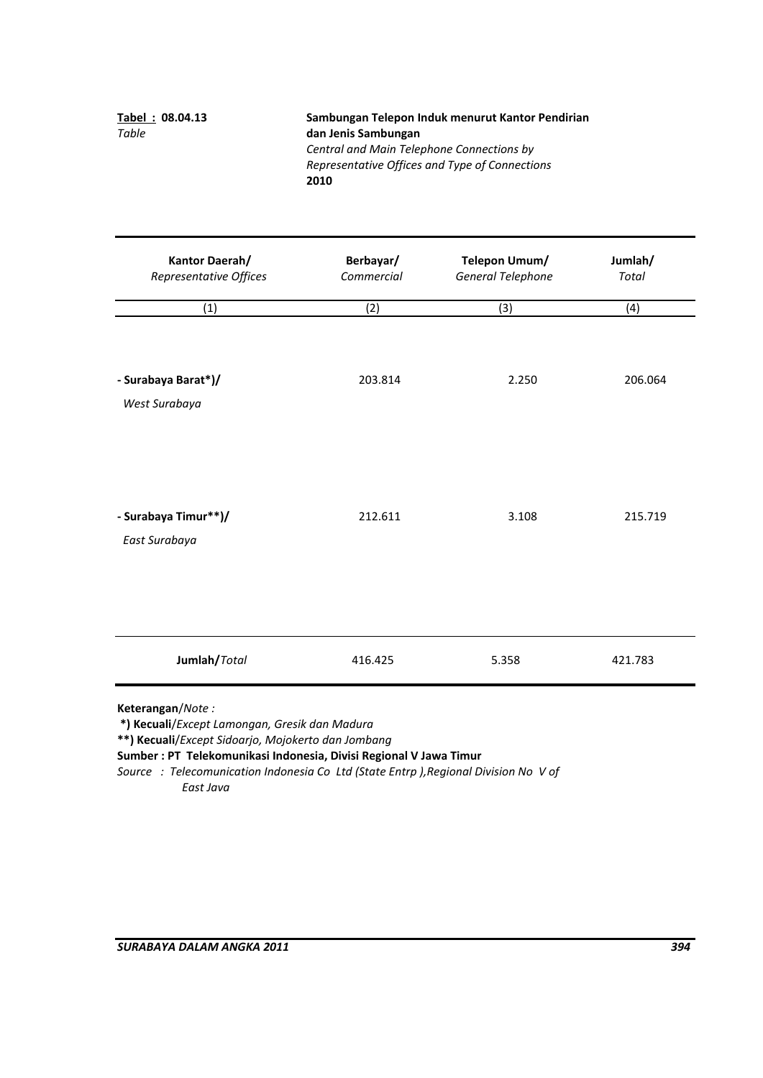| Tabel: 08.04.13 | Sambungan Telepon Induk menurut Kantor Pendirian |
|-----------------|--------------------------------------------------|
| Table           | dan Jenis Sambungan                              |
|                 | Central and Main Telephone Connections by        |
|                 | Representative Offices and Type of Connections   |
|                 | 2010                                             |

| <b>Kantor Daerah/</b><br>Representative Offices | Berbayar/<br>Commercial | Telepon Umum/<br><b>General Telephone</b> | Jumlah/<br><b>Total</b> |  |
|-------------------------------------------------|-------------------------|-------------------------------------------|-------------------------|--|
| (1)                                             | (2)                     | (3)                                       | (4)                     |  |
| - Surabaya Barat*)/<br>West Surabaya            | 203.814                 | 2.250                                     | 206.064                 |  |
| - Surabaya Timur**)/<br>East Surabaya           | 212.611                 | 3.108                                     | 215.719                 |  |
| Jumlah/Total                                    | 416.425                 | 5.358                                     | 421.783                 |  |

**Keterangan**/*Note :*

**\*) Kecuali**/*Except Lamongan, Gresik dan Madura*

**\*\*) Kecuali**/*Except Sidoarjo, Mojokerto dan Jombang*

**Sumber : PT Telekomunikasi Indonesia, Divisi Regional V Jawa Timur**

*Source : Telecomunication Indonesia Co Ltd (State Entrp ),Regional Division No V of East Java*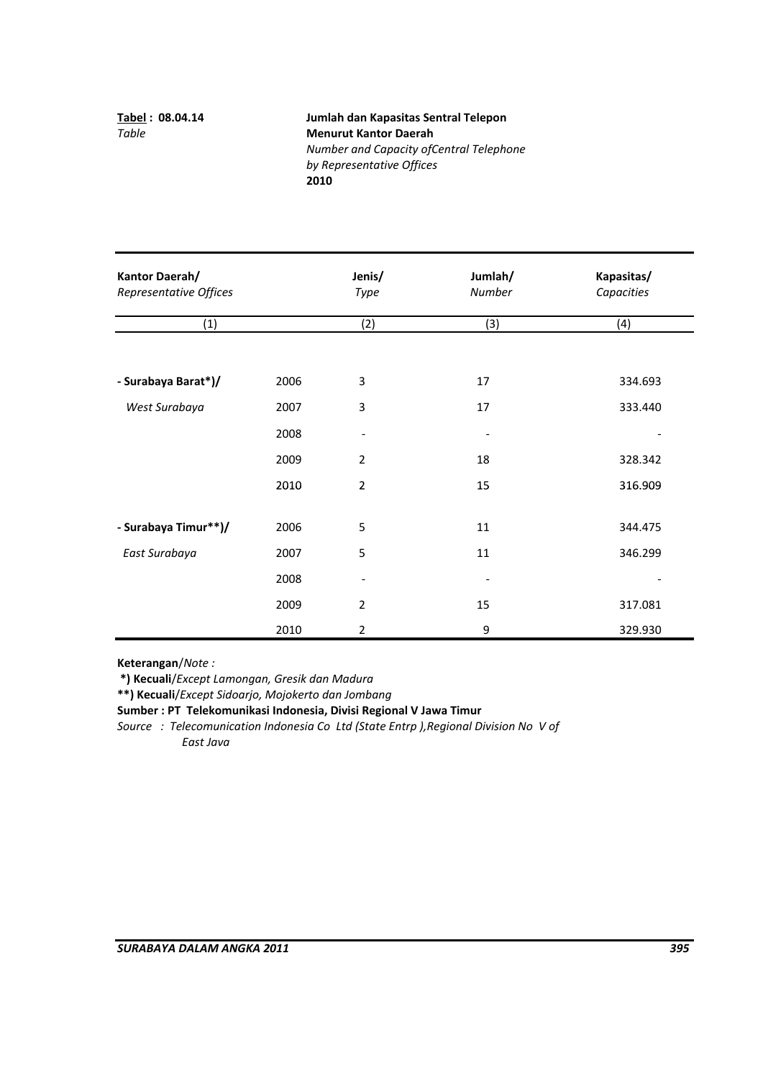**Tabel : 08.04.14 Jumlah dan Kapasitas Sentral Telepon**  *Table*  **Menurut Kantor Daerah**  *Number and Capacity ofCentral Telephone by Representative Offices* **2010**

| Kantor Daerah/<br>Representative Offices |      |                | Jumlah/<br>Number        | Kapasitas/<br>Capacities |  |
|------------------------------------------|------|----------------|--------------------------|--------------------------|--|
| (1)                                      |      | (2)            | (3)                      | (4)                      |  |
| - Surabaya Barat*)/                      | 2006 | 3              | 17                       | 334.693                  |  |
| West Surabaya                            | 2007 | 3              | 17                       | 333.440                  |  |
|                                          | 2008 | -              | $\overline{\phantom{a}}$ |                          |  |
|                                          | 2009 | $\overline{2}$ | 18                       | 328.342                  |  |
|                                          | 2010 | $\overline{2}$ | 15                       | 316.909                  |  |
|                                          |      |                |                          |                          |  |
| - Surabaya Timur**)/                     | 2006 | 5              | 11                       | 344.475                  |  |
| East Surabaya                            | 2007 | 5              | 11                       | 346.299                  |  |
|                                          | 2008 |                |                          |                          |  |
|                                          | 2009 | 2              | 15                       | 317.081                  |  |
|                                          | 2010 | $\overline{2}$ | 9                        | 329.930                  |  |

**Keterangan**/*Note :*

**\*) Kecuali**/*Except Lamongan, Gresik dan Madura*

**\*\*) Kecuali**/*Except Sidoarjo, Mojokerto dan Jombang*

**Sumber : PT Telekomunikasi Indonesia, Divisi Regional V Jawa Timur**

*Source : Telecomunication Indonesia Co Ltd (State Entrp ),Regional Division No V of East Java*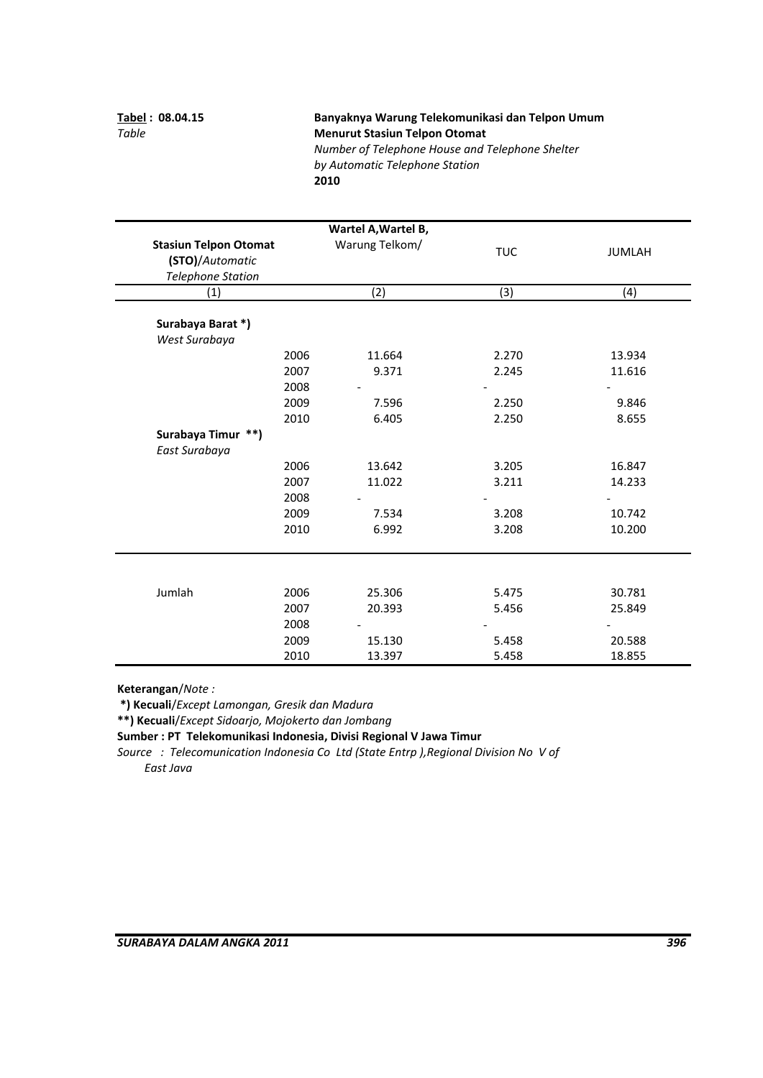# **Tabel : 08.04.15 Banyaknya Warung Telekomunikasi dan Telpon Umum** *Table*  **Menurut Stasiun Telpon Otomat** *Number of Telephone House and Telephone Shelter*

*by Automatic Telephone Station* **2010**

|                                                                             |      | Wartel A, Wartel B, |            |               |
|-----------------------------------------------------------------------------|------|---------------------|------------|---------------|
| <b>Stasiun Telpon Otomat</b><br>(STO)/Automatic<br><b>Telephone Station</b> |      | Warung Telkom/      | <b>TUC</b> | <b>JUMLAH</b> |
| (1)                                                                         |      | (2)                 | (3)        | (4)           |
| Surabaya Barat*)                                                            |      |                     |            |               |
| West Surabaya                                                               |      |                     |            |               |
|                                                                             | 2006 | 11.664              | 2.270      | 13.934        |
|                                                                             | 2007 | 9.371               | 2.245      | 11.616        |
|                                                                             | 2008 |                     |            |               |
|                                                                             | 2009 | 7.596               | 2.250      | 9.846         |
|                                                                             | 2010 | 6.405               | 2.250      | 8.655         |
| Surabaya Timur **)                                                          |      |                     |            |               |
| East Surabaya                                                               |      |                     |            |               |
|                                                                             | 2006 | 13.642              | 3.205      | 16.847        |
|                                                                             | 2007 | 11.022              | 3.211      | 14.233        |
|                                                                             | 2008 |                     |            |               |
|                                                                             | 2009 | 7.534               | 3.208      | 10.742        |
|                                                                             | 2010 | 6.992               | 3.208      | 10.200        |
|                                                                             |      |                     |            |               |
|                                                                             |      |                     |            |               |
| Jumlah                                                                      | 2006 | 25.306              | 5.475      | 30.781        |
|                                                                             | 2007 | 20.393              | 5.456      | 25.849        |
|                                                                             | 2008 |                     |            |               |
|                                                                             | 2009 | 15.130              | 5.458      | 20.588        |
|                                                                             | 2010 | 13.397              | 5.458      | 18.855        |

**Keterangan**/*Note :*

**\*) Kecuali**/*Except Lamongan, Gresik dan Madura*

**\*\*) Kecuali**/*Except Sidoarjo, Mojokerto dan Jombang*

**Sumber : PT Telekomunikasi Indonesia, Divisi Regional V Jawa Timur**

*Source : Telecomunication Indonesia Co Ltd (State Entrp ),Regional Division No V of East Java*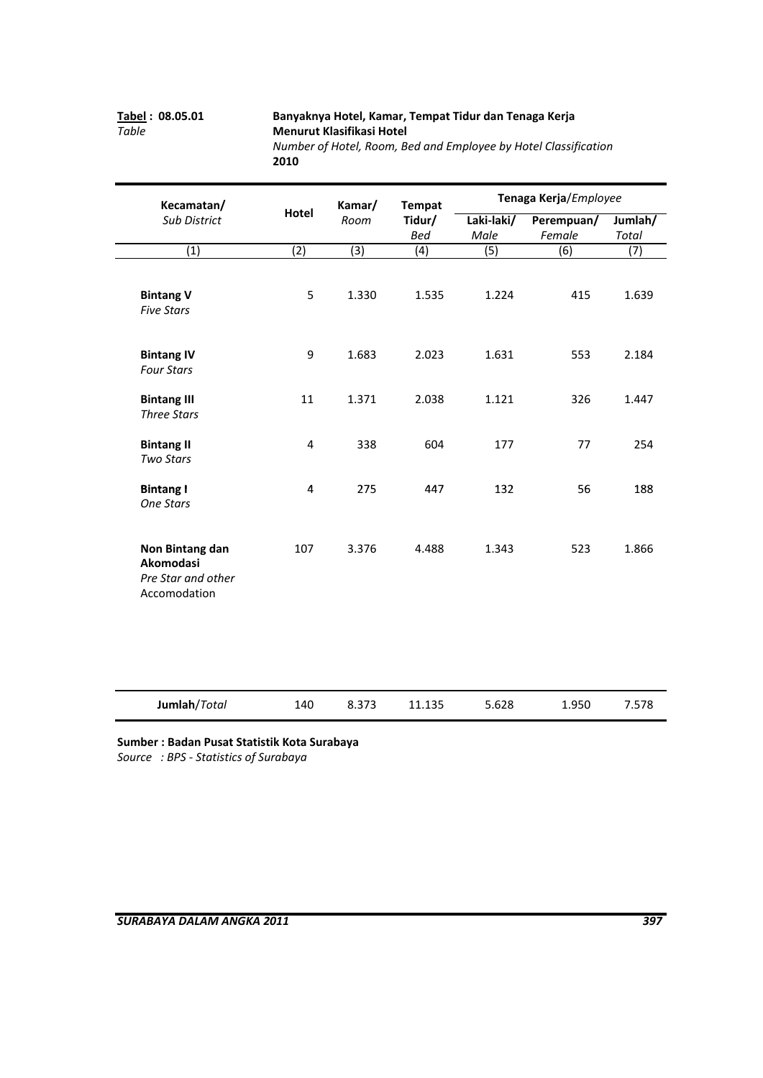# **Tabel : 08.05.01 Banyaknya Hotel, Kamar, Tempat Tidur dan Tenaga Kerja** *Table*  **Menurut Klasifikasi Hotel** *Number of Hotel, Room, Bed and Employee by Hotel Classification*

| Kecamatan/                                                         |                         | Kamar/ | <b>Tempat</b> | Tenaga Kerja/Employee |                  |                  |
|--------------------------------------------------------------------|-------------------------|--------|---------------|-----------------------|------------------|------------------|
| Sub District                                                       | <b>Hotel</b>            | Room   | Tidur/        | Laki-laki/            | Perempuan/       | Jumlah/          |
|                                                                    |                         |        | <b>Bed</b>    | Male                  | Female           | <b>Total</b>     |
| $\overline{(1)}$                                                   | (2)                     | (3)    | (4)           | (5)                   | $\overline{(6)}$ | $\overline{(7)}$ |
| <b>Bintang V</b><br><b>Five Stars</b>                              | 5                       | 1.330  | 1.535         | 1.224                 | 415              | 1.639            |
| <b>Bintang IV</b><br><b>Four Stars</b>                             | 9                       | 1.683  | 2.023         | 1.631                 | 553              | 2.184            |
| <b>Bintang III</b><br><b>Three Stars</b>                           | 11                      | 1.371  | 2.038         | 1.121                 | 326              | 1.447            |
| <b>Bintang II</b><br><b>Two Stars</b>                              | $\overline{\mathbf{4}}$ | 338    | 604           | 177                   | 77               | 254              |
| <b>Bintang I</b><br><b>One Stars</b>                               | $\pmb{4}$               | 275    | 447           | 132                   | 56               | 188              |
| Non Bintang dan<br>Akomodasi<br>Pre Star and other<br>Accomodation | 107                     | 3.376  | 4.488         | 1.343                 | 523              | 1.866            |
| Jumlah/Total                                                       | 140                     | 8.373  | 11.135        | 5.628                 | 1.950            | 7.578            |

**2010**

**Sumber : Badan Pusat Statistik Kota Surabaya**

*Source : BPS ‐ Statistics of Surabaya*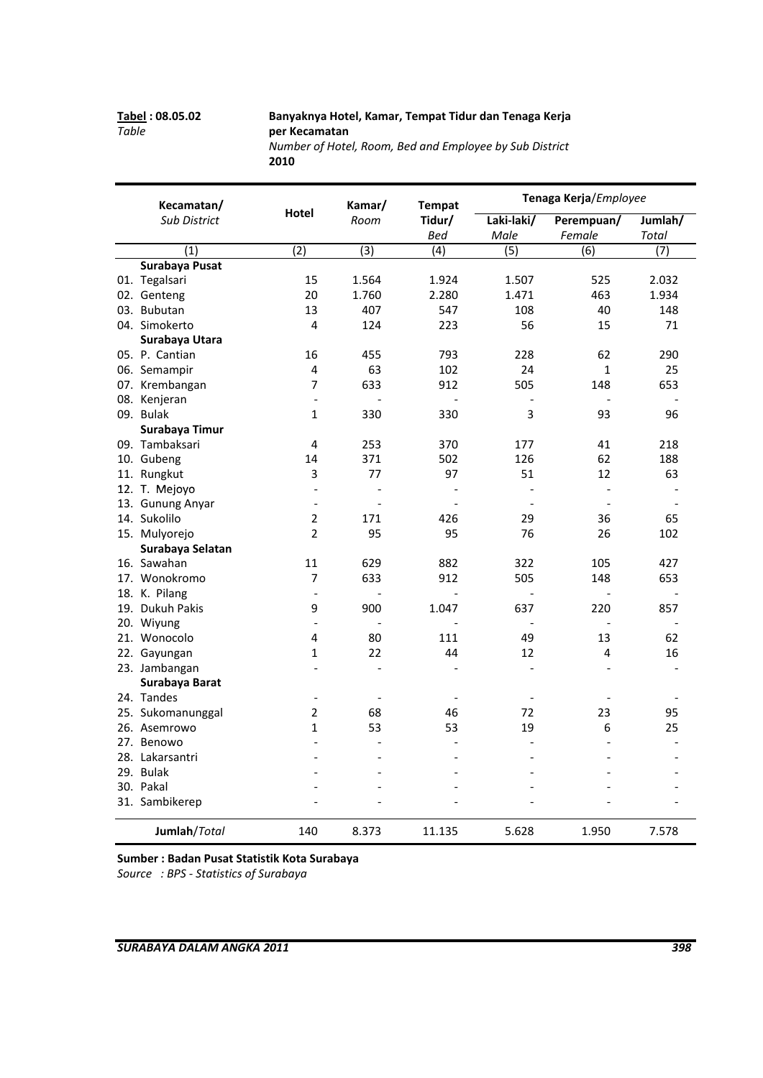### **Tabel : 08.05.02 Banyaknya Hotel, Kamar, Tempat Tidur dan Tenaga Kerja** *Table*  **per Kecamatan**

*Number of Hotel, Room, Bed and Employee by Sub District* **2010**

| Kecamatan/          |                          | Kamar/                   | <b>Tempat</b>  | Tenaga Kerja/Employee    |                          |                          |
|---------------------|--------------------------|--------------------------|----------------|--------------------------|--------------------------|--------------------------|
| <b>Sub District</b> | Hotel                    | Room                     | Tidur/<br>Bed  | Laki-laki/<br>Male       | Perempuan/<br>Female     | Jumlah/<br>Total         |
| (1)                 | (2)                      | (3)                      | (4)            | (5)                      | (6)                      | (7)                      |
| Surabaya Pusat      |                          |                          |                |                          |                          |                          |
| 01. Tegalsari       | 15                       | 1.564                    | 1.924          | 1.507                    | 525                      | 2.032                    |
| 02. Genteng         | 20                       | 1.760                    | 2.280          | 1.471                    | 463                      | 1.934                    |
| 03. Bubutan         | 13                       | 407                      | 547            | 108                      | 40                       | 148                      |
| 04. Simokerto       | 4                        | 124                      | 223            | 56                       | 15                       | 71                       |
| Surabaya Utara      |                          |                          |                |                          |                          |                          |
| 05. P. Cantian      | 16                       | 455                      | 793            | 228                      | 62                       | 290                      |
| 06. Semampir        | 4                        | 63                       | 102            | 24                       | $\mathbf{1}$             | 25                       |
| 07. Krembangan      | $\overline{7}$           | 633                      | 912            | 505                      | 148                      | 653                      |
| 08. Kenjeran        | $\overline{a}$           | $\overline{a}$           | $\overline{a}$ |                          | $\overline{\phantom{a}}$ |                          |
| 09. Bulak           | $\mathbf{1}$             | 330                      | 330            | 3                        | 93                       | 96                       |
| Surabaya Timur      |                          |                          |                |                          |                          |                          |
| 09. Tambaksari      | 4                        | 253                      | 370            | 177                      | 41                       | 218                      |
| 10. Gubeng          | 14                       | 371                      | 502            | 126                      | 62                       | 188                      |
| 11. Rungkut         | 3                        | 77                       | 97             | 51                       | 12                       | 63                       |
| 12. T. Mejoyo       | $\overline{a}$           | $\overline{a}$           |                | $\overline{\phantom{a}}$ | $\frac{1}{2}$            |                          |
| 13. Gunung Anyar    | $\overline{a}$           | $\overline{a}$           |                | $\sim$                   | $\overline{\phantom{a}}$ | $\overline{\phantom{a}}$ |
| 14. Sukolilo        | $\overline{2}$           | 171                      | 426            | 29                       | 36                       | 65                       |
| 15. Mulyorejo       | $\overline{2}$           | 95                       | 95             | 76                       | 26                       | 102                      |
| Surabaya Selatan    |                          |                          |                |                          |                          |                          |
| 16. Sawahan         | 11                       | 629                      | 882            | 322                      | 105                      | 427                      |
| 17. Wonokromo       | 7                        | 633                      | 912            | 505                      | 148                      | 653                      |
| 18. K. Pilang       | $\overline{a}$           | $\overline{a}$           | $\overline{a}$ | $\overline{a}$           | $\overline{a}$           | $\overline{a}$           |
| 19. Dukuh Pakis     | 9                        | 900                      | 1.047          | 637                      | 220                      | 857                      |
| 20. Wiyung          | $\overline{a}$           | $\overline{\phantom{0}}$ |                | $\overline{a}$           | $\overline{a}$           |                          |
| 21. Wonocolo        | 4                        | 80                       | 111            | 49                       | 13                       | 62                       |
| 22. Gayungan        | $\mathbf{1}$             | 22                       | 44             | 12                       | 4                        | 16                       |
| 23. Jambangan       | $\overline{a}$           | $\overline{\phantom{0}}$ |                | $\overline{a}$           | $\overline{a}$           |                          |
| Surabaya Barat      |                          |                          |                |                          |                          |                          |
| 24. Tandes          | $\overline{\phantom{a}}$ | $\overline{a}$           |                | $\sim$                   |                          |                          |
| 25. Sukomanunggal   | 2                        | 68                       | 46             | 72                       | 23                       | 95                       |
| 26. Asemrowo        | $\mathbf{1}$             | 53                       | 53             | 19                       | 6                        | 25                       |
| 27. Benowo          | $\overline{a}$           |                          |                | $\overline{\phantom{a}}$ | $\overline{a}$           |                          |
| 28. Lakarsantri     | $\overline{a}$           |                          |                | $\overline{a}$           | L.                       |                          |
| 29. Bulak           | $\overline{a}$           |                          |                |                          | L.                       |                          |
| 30. Pakal           |                          |                          |                |                          |                          | $\overline{a}$           |
| 31. Sambikerep      |                          |                          |                |                          |                          |                          |
| Jumlah/Total        | 140                      | 8.373                    | 11.135         | 5.628                    | 1.950                    | 7.578                    |

**Sumber : Badan Pusat Statistik Kota Surabaya** *Source : BPS ‐ Statistics of Surabaya*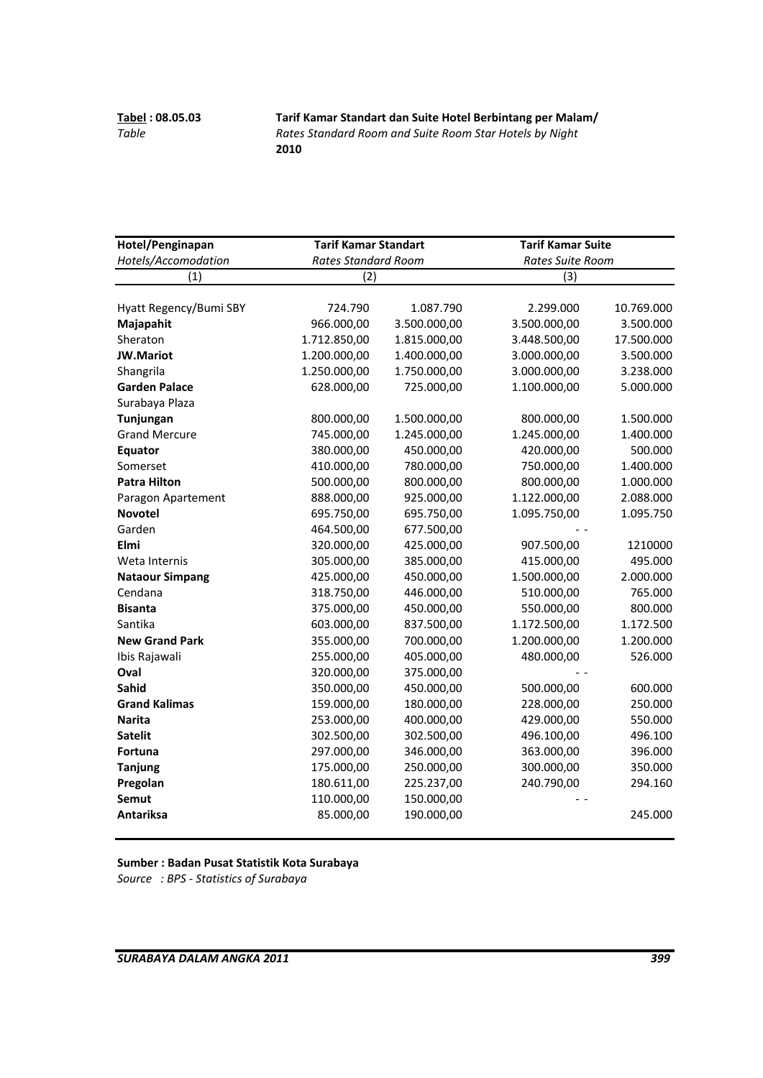**Tabel : 08.05.03 Tarif Kamar Standart dan Suite Hotel Berbintang per Malam/** *Table Rates Standard Room and Suite Room Star Hotels by Night* **2010**

| Hotel/Penginapan       | <b>Tarif Kamar Standart</b> |              | <b>Tarif Kamar Suite</b> |            |
|------------------------|-----------------------------|--------------|--------------------------|------------|
| Hotels/Accomodation    | <b>Rates Standard Room</b>  |              | Rates Suite Room         |            |
| (1)                    | (2)                         |              | (3)                      |            |
| Hyatt Regency/Bumi SBY | 724.790                     | 1.087.790    | 2.299.000                | 10.769.000 |
| Majapahit              | 966.000,00                  | 3.500.000,00 | 3.500.000,00             | 3.500.000  |
| Sheraton               | 1.712.850,00                | 1.815.000,00 | 3.448.500,00             | 17.500.000 |
| <b>JW.Mariot</b>       | 1.200.000,00                | 1.400.000,00 | 3.000.000,00             | 3.500.000  |
| Shangrila              | 1.250.000,00                | 1.750.000,00 | 3.000.000,00             | 3.238.000  |
| <b>Garden Palace</b>   | 628.000,00                  | 725.000,00   | 1.100.000,00             | 5.000.000  |
| Surabaya Plaza         |                             |              |                          |            |
| Tunjungan              | 800.000,00                  | 1.500.000,00 | 800.000,00               | 1.500.000  |
| <b>Grand Mercure</b>   | 745.000,00                  | 1.245.000,00 | 1.245.000,00             | 1.400.000  |
| Equator                | 380.000,00                  | 450.000,00   | 420.000,00               | 500.000    |
| Somerset               | 410.000,00                  | 780.000,00   | 750.000,00               | 1.400.000  |
| <b>Patra Hilton</b>    | 500.000,00                  | 800.000,00   | 800.000,00               | 1.000.000  |
| Paragon Apartement     | 888.000,00                  | 925.000,00   | 1.122.000,00             | 2.088.000  |
| <b>Novotel</b>         | 695.750,00                  | 695.750,00   | 1.095.750,00             | 1.095.750  |
| Garden                 | 464.500,00                  | 677.500,00   |                          |            |
| Elmi                   | 320.000,00                  | 425.000,00   | 907.500,00               | 1210000    |
| Weta Internis          | 305.000,00                  | 385.000,00   | 415.000,00               | 495.000    |
| <b>Nataour Simpang</b> | 425.000,00                  | 450.000,00   | 1.500.000,00             | 2.000.000  |
| Cendana                | 318.750,00                  | 446.000,00   | 510.000,00               | 765.000    |
| <b>Bisanta</b>         | 375.000,00                  | 450.000,00   | 550.000,00               | 800.000    |
| Santika                | 603.000,00                  | 837.500,00   | 1.172.500,00             | 1.172.500  |
| <b>New Grand Park</b>  | 355.000,00                  | 700.000,00   | 1.200.000,00             | 1.200.000  |
| Ibis Rajawali          | 255.000,00                  | 405.000,00   | 480.000,00               | 526.000    |
| Oval                   | 320.000,00                  | 375.000,00   |                          |            |
| Sahid                  | 350.000,00                  | 450.000,00   | 500.000,00               | 600.000    |
| <b>Grand Kalimas</b>   | 159.000,00                  | 180.000,00   | 228.000,00               | 250.000    |
| <b>Narita</b>          | 253.000,00                  | 400.000,00   | 429.000,00               | 550.000    |
| <b>Satelit</b>         | 302.500,00                  | 302.500,00   | 496.100,00               | 496.100    |
| Fortuna                | 297.000,00                  | 346.000,00   | 363.000,00               | 396.000    |
| <b>Tanjung</b>         | 175.000,00                  | 250.000,00   | 300.000,00               | 350.000    |
| Pregolan               | 180.611,00                  | 225.237,00   | 240.790,00               | 294.160    |
| <b>Semut</b>           | 110.000,00                  | 150.000,00   |                          |            |
| <b>Antariksa</b>       | 85.000,00                   | 190.000,00   |                          | 245.000    |

**Sumber : Badan Pusat Statistik Kota Surabaya** *Source : BPS ‐ Statistics of Surabaya*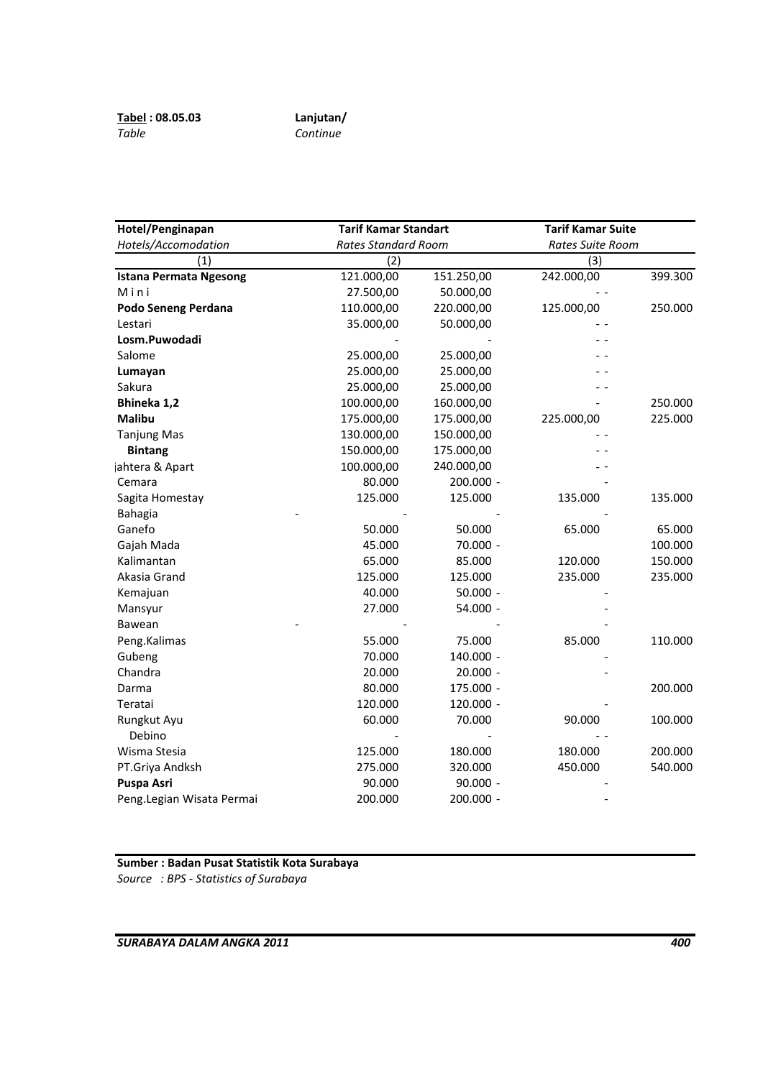| Hotel/Penginapan              | <b>Tarif Kamar Standart</b> |            | <b>Tarif Kamar Suite</b> |         |  |
|-------------------------------|-----------------------------|------------|--------------------------|---------|--|
| Hotels/Accomodation           | <b>Rates Standard Room</b>  |            | Rates Suite Room         |         |  |
| (1)                           | (2)                         |            | (3)                      |         |  |
| <b>Istana Permata Ngesong</b> | 121.000,00                  | 151.250,00 | 242.000,00               | 399.300 |  |
| Mini                          | 27.500,00                   | 50.000,00  |                          |         |  |
| Podo Seneng Perdana           | 110.000,00                  | 220.000,00 | 125.000,00               | 250.000 |  |
| Lestari                       | 35.000,00                   | 50.000,00  |                          |         |  |
| Losm.Puwodadi                 |                             |            |                          |         |  |
| Salome                        | 25.000,00                   | 25.000,00  |                          |         |  |
| Lumayan                       | 25.000,00                   | 25.000,00  |                          |         |  |
| Sakura                        | 25.000,00                   | 25.000,00  |                          |         |  |
| Bhineka 1,2                   | 100.000,00                  | 160.000,00 |                          | 250.000 |  |
| <b>Malibu</b>                 | 175.000,00                  | 175.000,00 | 225.000,00               | 225.000 |  |
| <b>Tanjung Mas</b>            | 130.000,00                  | 150.000,00 |                          |         |  |
| <b>Bintang</b>                | 150.000,00                  | 175.000,00 |                          |         |  |
| jahtera & Apart               | 100.000,00                  | 240.000,00 |                          |         |  |
| Cemara                        | 80.000                      | 200.000 -  |                          |         |  |
| Sagita Homestay               | 125.000                     | 125.000    | 135.000                  | 135.000 |  |
| <b>Bahagia</b>                |                             |            |                          |         |  |
| Ganefo                        | 50.000                      | 50.000     | 65.000                   | 65.000  |  |
| Gajah Mada                    | 45.000                      | 70.000 -   |                          | 100.000 |  |
| Kalimantan                    | 65.000                      | 85.000     | 120.000                  | 150.000 |  |
| Akasia Grand                  | 125.000                     | 125.000    | 235.000                  | 235.000 |  |
| Kemajuan                      | 40.000                      | $50.000 -$ |                          |         |  |
| Mansyur                       | 27.000                      | 54.000 -   |                          |         |  |
| Bawean                        |                             |            |                          |         |  |
| Peng.Kalimas                  | 55.000                      | 75.000     | 85.000                   | 110.000 |  |
| Gubeng                        | 70.000                      | 140.000 -  |                          |         |  |
| Chandra                       | 20.000                      | $20.000 -$ |                          |         |  |
| Darma                         | 80.000                      | 175.000 -  |                          | 200.000 |  |
| Teratai                       | 120.000                     | 120.000 -  |                          |         |  |
| Rungkut Ayu                   | 60.000                      | 70.000     | 90.000                   | 100.000 |  |
| Debino                        |                             |            |                          |         |  |
| Wisma Stesia                  | 125.000                     | 180.000    | 180.000                  | 200.000 |  |
| PT.Griya Andksh               | 275.000                     | 320.000    | 450.000                  | 540.000 |  |
| Puspa Asri                    | 90.000                      | $90.000 -$ |                          |         |  |
| Peng.Legian Wisata Permai     | 200.000                     | 200.000 -  |                          |         |  |

**Sumber : Badan Pusat Statistik Kota Surabaya** *Source : BPS ‐ Statistics of Surabaya*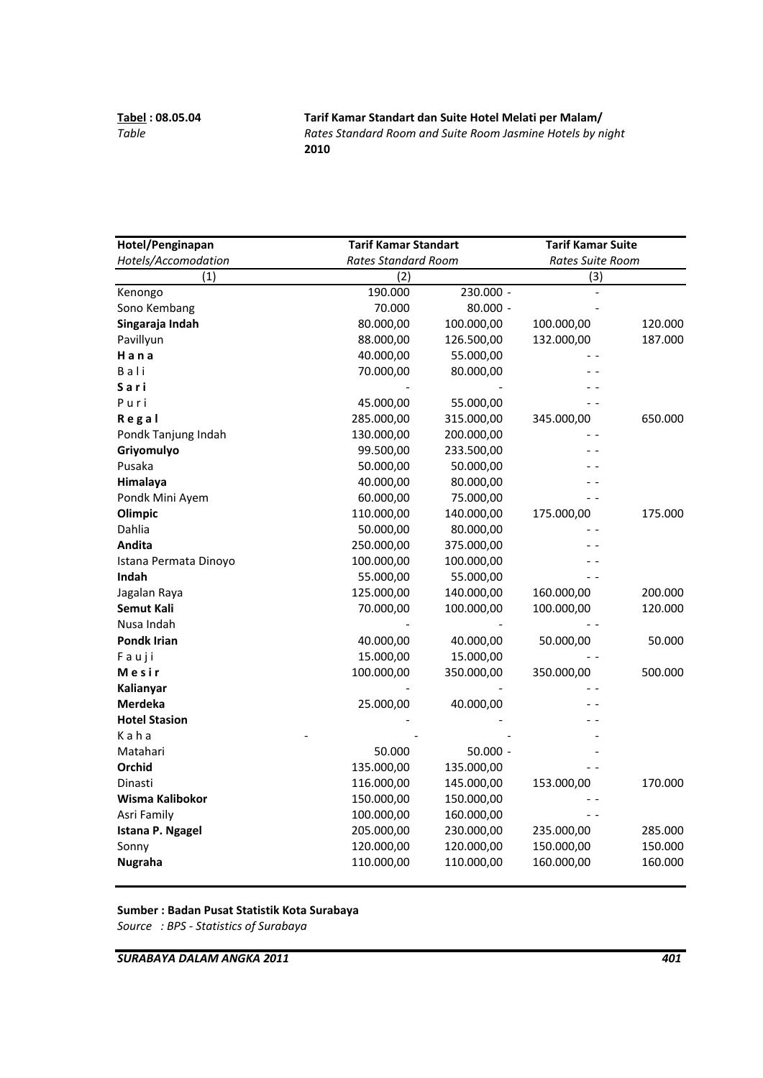**Tabel : 08.05.04 Tarif Kamar Standart dan Suite Hotel Melati per Malam/** *Table Rates Standard Room and Suite Room Jasmine Hotels by night* **2010**

| Hotel/Penginapan      |            | <b>Tarif Kamar Standart</b> |            | <b>Tarif Kamar Suite</b> |
|-----------------------|------------|-----------------------------|------------|--------------------------|
| Hotels/Accomodation   |            | <b>Rates Standard Room</b>  |            | Rates Suite Room         |
| (1)                   | (2)        |                             | (3)        |                          |
| Kenongo               | 190.000    | 230.000 -                   |            |                          |
| Sono Kembang          | 70.000     | 80.000 -                    |            |                          |
| Singaraja Indah       | 80.000,00  | 100.000,00                  | 100.000,00 | 120.000                  |
| Pavillyun             | 88.000,00  | 126.500,00                  | 132.000,00 | 187.000                  |
| Hana                  | 40.000,00  | 55.000,00                   |            |                          |
| Bali                  | 70.000,00  | 80.000,00                   |            |                          |
| Sari                  |            |                             |            |                          |
| Puri                  | 45.000,00  | 55.000,00                   |            |                          |
| Regal                 | 285.000,00 | 315.000,00                  | 345.000,00 | 650.000                  |
| Pondk Tanjung Indah   | 130.000,00 | 200.000,00                  |            |                          |
| Griyomulyo            | 99.500,00  | 233.500,00                  |            |                          |
| Pusaka                | 50.000,00  | 50.000,00                   |            |                          |
| Himalaya              | 40.000,00  | 80.000,00                   |            |                          |
| Pondk Mini Ayem       | 60.000,00  | 75.000,00                   |            |                          |
| Olimpic               | 110.000,00 | 140.000,00                  | 175.000,00 | 175.000                  |
| Dahlia                | 50.000,00  | 80.000,00                   |            |                          |
| Andita                | 250.000,00 | 375.000,00                  |            |                          |
| Istana Permata Dinoyo | 100.000,00 | 100.000,00                  |            |                          |
| Indah                 | 55.000,00  | 55.000,00                   |            |                          |
| Jagalan Raya          | 125.000,00 | 140.000,00                  | 160.000,00 | 200.000                  |
| <b>Semut Kali</b>     | 70.000,00  | 100.000,00                  | 100.000,00 | 120.000                  |
| Nusa Indah            |            |                             |            |                          |
| <b>Pondk Irian</b>    | 40.000,00  | 40.000,00                   | 50.000,00  | 50.000                   |
| Fauji                 | 15.000,00  | 15.000,00                   |            |                          |
| Mesir                 | 100.000,00 | 350.000,00                  | 350.000,00 | 500.000                  |
| Kalianyar             |            |                             |            |                          |
| Merdeka               | 25.000,00  | 40.000,00                   |            |                          |
| <b>Hotel Stasion</b>  |            |                             |            |                          |
| Kaha                  |            |                             |            |                          |
| Matahari              | 50.000     | $50.000 -$                  |            |                          |
| Orchid                | 135.000,00 | 135.000,00                  |            |                          |
| Dinasti               | 116.000,00 | 145.000,00                  | 153.000,00 | 170.000                  |
| Wisma Kalibokor       | 150.000,00 | 150.000,00                  |            |                          |
| Asri Family           | 100.000,00 | 160.000,00                  |            |                          |
| Istana P. Ngagel      | 205.000,00 | 230.000,00                  | 235.000,00 | 285.000                  |
| Sonny                 | 120.000,00 | 120.000,00                  | 150.000,00 | 150.000                  |
| <b>Nugraha</b>        | 110.000,00 | 110.000,00                  | 160.000,00 | 160.000                  |
|                       |            |                             |            |                          |

**Sumber : Badan Pusat Statistik Kota Surabaya**

*Source : BPS ‐ Statistics of Surabaya*

*SURABAYA DALAM ANGKA 2011 401*